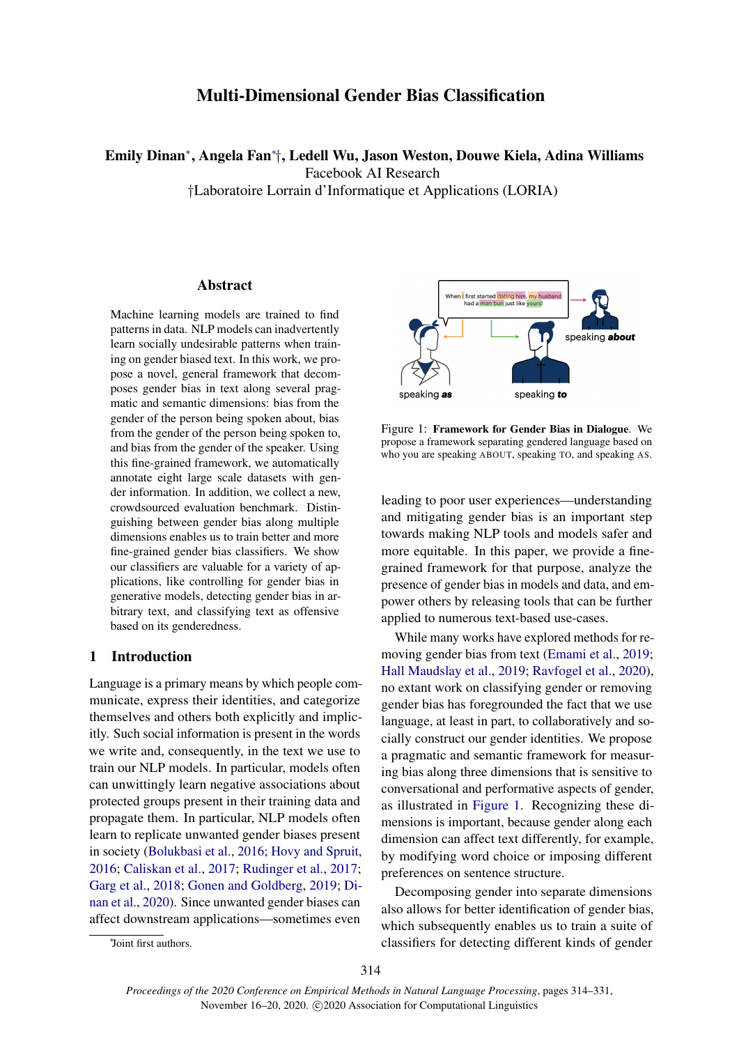# Multi-Dimensional Gender Bias Classification

Emily Dinan<sup>∗</sup> , Angela Fan<sup>∗</sup> †, Ledell Wu, Jason Weston, Douwe Kiela, Adina Williams

Facebook AI Research

†Laboratoire Lorrain d'Informatique et Applications (LORIA)

## **Abstract**

Machine learning models are trained to find patterns in data. NLP models can inadvertently learn socially undesirable patterns when training on gender biased text. In this work, we propose a novel, general framework that decomposes gender bias in text along several pragmatic and semantic dimensions: bias from the gender of the person being spoken about, bias from the gender of the person being spoken to, and bias from the gender of the speaker. Using this fine-grained framework, we automatically annotate eight large scale datasets with gender information. In addition, we collect a new, crowdsourced evaluation benchmark. Distinguishing between gender bias along multiple dimensions enables us to train better and more fine-grained gender bias classifiers. We show our classifiers are valuable for a variety of applications, like controlling for gender bias in generative models, detecting gender bias in arbitrary text, and classifying text as offensive based on its genderedness.

## 1 Introduction

Language is a primary means by which people communicate, express their identities, and categorize themselves and others both explicitly and implicitly. Such social information is present in the words we write and, consequently, in the text we use to train our NLP models. In particular, models often can unwittingly learn negative associations about protected groups present in their training data and propagate them. In particular, NLP models often learn to replicate unwanted gender biases present in society [\(Bolukbasi et al.,](#page-8-0) [2016;](#page-8-0) [Hovy and Spruit,](#page-10-0) [2016;](#page-10-0) [Caliskan et al.,](#page-8-1) [2017;](#page-8-1) [Rudinger et al.,](#page-11-0) [2017;](#page-11-0) [Garg et al.,](#page-10-1) [2018;](#page-10-1) [Gonen and Goldberg,](#page-10-2) [2019;](#page-10-2) [Di](#page-9-0)[nan et al.,](#page-9-0) [2020\)](#page-9-0). Since unwanted gender biases can affect downstream applications—sometimes even

<span id="page-0-0"></span>

Figure 1: Framework for Gender Bias in Dialogue. We propose a framework separating gendered language based on who you are speaking ABOUT, speaking TO, and speaking AS.

leading to poor user experiences—understanding and mitigating gender bias is an important step towards making NLP tools and models safer and more equitable. In this paper, we provide a finegrained framework for that purpose, analyze the presence of gender bias in models and data, and empower others by releasing tools that can be further applied to numerous text-based use-cases.

While many works have explored methods for removing gender bias from text [\(Emami et al.,](#page-9-1) [2019;](#page-9-1) [Hall Maudslay et al.,](#page-10-3) [2019;](#page-10-3) [Ravfogel et al.,](#page-11-1) [2020\)](#page-11-1), no extant work on classifying gender or removing gender bias has foregrounded the fact that we use language, at least in part, to collaboratively and socially construct our gender identities. We propose a pragmatic and semantic framework for measuring bias along three dimensions that is sensitive to conversational and performative aspects of gender, as illustrated in [Figure 1.](#page-0-0) Recognizing these dimensions is important, because gender along each dimension can affect text differently, for example, by modifying word choice or imposing different preferences on sentence structure.

Decomposing gender into separate dimensions also allows for better identification of gender bias, which subsequently enables us to train a suite of classifiers for detecting different kinds of gender

<sup>∗</sup> Joint first authors.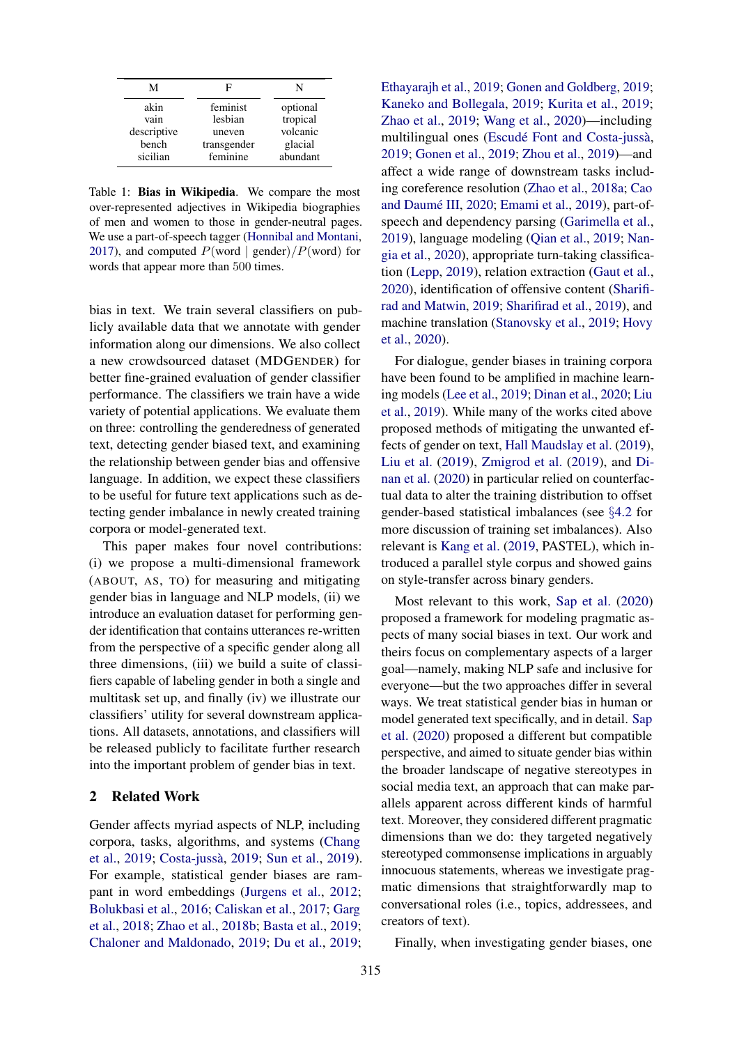<span id="page-1-0"></span>

| М           | ы           | N        |
|-------------|-------------|----------|
| akin        | feminist    | optional |
| vain        | lesbian     | tropical |
| descriptive | uneven      | volcanic |
| bench       | transgender | glacial  |
| sicilian    | feminine    | abundant |

Table 1: Bias in Wikipedia. We compare the most over-represented adjectives in Wikipedia biographies of men and women to those in gender-neutral pages. We use a part-of-speech tagger [\(Honnibal and Montani,](#page-10-4) [2017\)](#page-10-4), and computed  $P(\text{word} | \text{gender})/P(\text{word})$  for words that appear more than 500 times.

bias in text. We train several classifiers on publicly available data that we annotate with gender information along our dimensions. We also collect a new crowdsourced dataset (MDGENDER) for better fine-grained evaluation of gender classifier performance. The classifiers we train have a wide variety of potential applications. We evaluate them on three: controlling the genderedness of generated text, detecting gender biased text, and examining the relationship between gender bias and offensive language. In addition, we expect these classifiers to be useful for future text applications such as detecting gender imbalance in newly created training corpora or model-generated text.

This paper makes four novel contributions: (i) we propose a multi-dimensional framework (ABOUT, AS, TO) for measuring and mitigating gender bias in language and NLP models, (ii) we introduce an evaluation dataset for performing gender identification that contains utterances re-written from the perspective of a specific gender along all three dimensions, (iii) we build a suite of classifiers capable of labeling gender in both a single and multitask set up, and finally (iv) we illustrate our classifiers' utility for several downstream applications. All datasets, annotations, and classifiers will be released publicly to facilitate further research into the important problem of gender bias in text.

# 2 Related Work

Gender affects myriad aspects of NLP, including corpora, tasks, algorithms, and systems [\(Chang](#page-9-2) [et al.,](#page-9-2) [2019;](#page-9-2) [Costa-jussa`,](#page-9-3) [2019;](#page-9-3) [Sun et al.,](#page-12-0) [2019\)](#page-12-0). For example, statistical gender biases are rampant in word embeddings [\(Jurgens et al.,](#page-10-5) [2012;](#page-10-5) [Bolukbasi et al.,](#page-8-0) [2016;](#page-8-0) [Caliskan et al.,](#page-8-1) [2017;](#page-8-1) [Garg](#page-10-1) [et al.,](#page-10-1) [2018;](#page-10-1) [Zhao et al.,](#page-13-0) [2018b;](#page-13-0) [Basta et al.,](#page-8-2) [2019;](#page-8-2) [Chaloner and Maldonado,](#page-9-4) [2019;](#page-9-4) [Du et al.,](#page-9-5) [2019;](#page-9-5)

[Ethayarajh et al.,](#page-9-6) [2019;](#page-9-6) [Gonen and Goldberg,](#page-10-2) [2019;](#page-10-2) [Kaneko and Bollegala,](#page-11-2) [2019;](#page-11-2) [Kurita et al.,](#page-11-3) [2019;](#page-11-3) [Zhao et al.,](#page-12-1) [2019;](#page-12-1) [Wang et al.,](#page-12-2) [2020\)](#page-12-2)—including multilingual ones (Escudé Font and Costa-jussà, [2019;](#page-9-7) [Gonen et al.,](#page-10-6) [2019;](#page-10-6) [Zhou et al.,](#page-13-1) [2019\)](#page-13-1)—and affect a wide range of downstream tasks including coreference resolution [\(Zhao et al.,](#page-13-2) [2018a;](#page-13-2) [Cao](#page-8-3) and Daumé III, [2020;](#page-8-3) [Emami et al.,](#page-9-1) [2019\)](#page-9-1), part-ofspeech and dependency parsing [\(Garimella et al.,](#page-10-7) [2019\)](#page-10-7), language modeling [\(Qian et al.,](#page-11-4) [2019;](#page-11-4) [Nan](#page-11-5)[gia et al.,](#page-11-5) [2020\)](#page-11-5), appropriate turn-taking classification [\(Lepp,](#page-11-6) [2019\)](#page-11-6), relation extraction [\(Gaut et al.,](#page-10-8) [2020\)](#page-10-8), identification of offensive content [\(Sharifi](#page-12-3)[rad and Matwin,](#page-12-3) [2019;](#page-12-3) [Sharifirad et al.,](#page-12-4) [2019\)](#page-12-4), and machine translation [\(Stanovsky et al.,](#page-12-5) [2019;](#page-12-5) [Hovy](#page-10-9) [et al.,](#page-10-9) [2020\)](#page-10-9).

For dialogue, gender biases in training corpora have been found to be amplified in machine learning models [\(Lee et al.,](#page-11-7) [2019;](#page-11-7) [Dinan et al.,](#page-9-0) [2020;](#page-9-0) [Liu](#page-11-8) [et al.,](#page-11-8) [2019\)](#page-11-8). While many of the works cited above proposed methods of mitigating the unwanted effects of gender on text, [Hall Maudslay et al.](#page-10-3) [\(2019\)](#page-10-3), [Liu et al.](#page-11-8) [\(2019\)](#page-11-8), [Zmigrod et al.](#page-13-3) [\(2019\)](#page-13-3), and [Di](#page-9-0)[nan et al.](#page-9-0) [\(2020\)](#page-9-0) in particular relied on counterfactual data to alter the training distribution to offset gender-based statistical imbalances (see §[4.2](#page-4-0) for more discussion of training set imbalances). Also relevant is [Kang et al.](#page-11-9) [\(2019,](#page-11-9) PASTEL), which introduced a parallel style corpus and showed gains on style-transfer across binary genders.

Most relevant to this work, [Sap et al.](#page-12-6) [\(2020\)](#page-12-6) proposed a framework for modeling pragmatic aspects of many social biases in text. Our work and theirs focus on complementary aspects of a larger goal—namely, making NLP safe and inclusive for everyone—but the two approaches differ in several ways. We treat statistical gender bias in human or model generated text specifically, and in detail. [Sap](#page-12-6) [et al.](#page-12-6) [\(2020\)](#page-12-6) proposed a different but compatible perspective, and aimed to situate gender bias within the broader landscape of negative stereotypes in social media text, an approach that can make parallels apparent across different kinds of harmful text. Moreover, they considered different pragmatic dimensions than we do: they targeted negatively stereotyped commonsense implications in arguably innocuous statements, whereas we investigate pragmatic dimensions that straightforwardly map to conversational roles (i.e., topics, addressees, and creators of text).

Finally, when investigating gender biases, one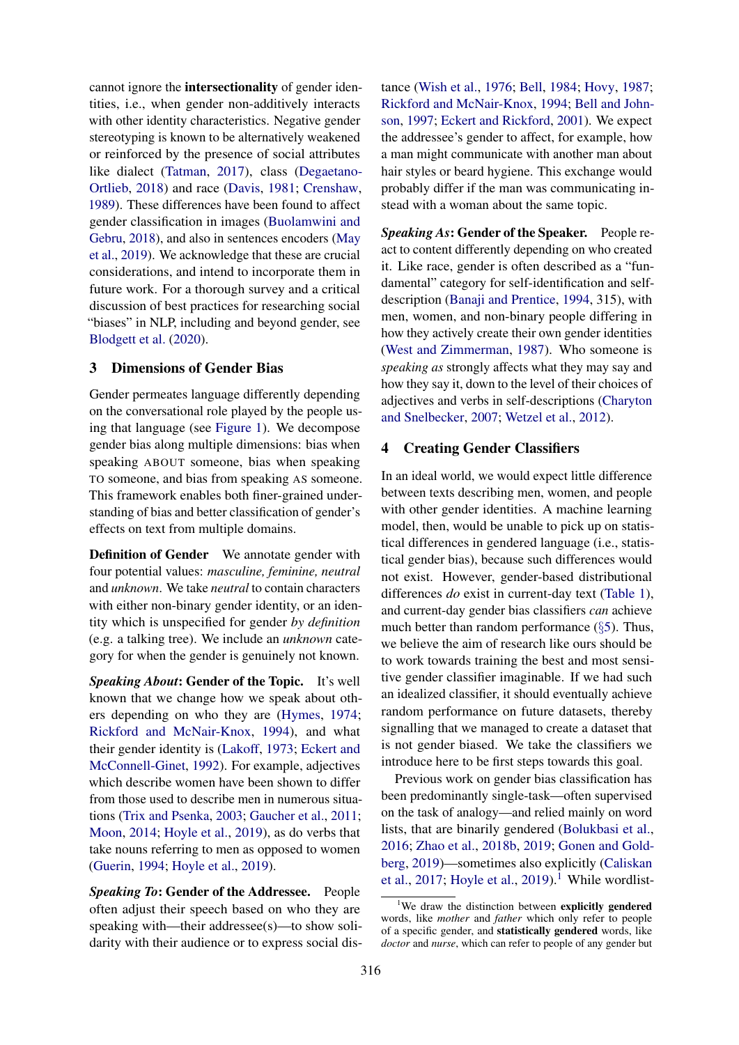cannot ignore the intersectionality of gender identities, i.e., when gender non-additively interacts with other identity characteristics. Negative gender stereotyping is known to be alternatively weakened or reinforced by the presence of social attributes like dialect [\(Tatman,](#page-12-7) [2017\)](#page-12-7), class [\(Degaetano-](#page-9-8)[Ortlieb,](#page-9-8) [2018\)](#page-9-8) and race [\(Davis,](#page-9-9) [1981;](#page-9-9) [Crenshaw,](#page-9-10) [1989\)](#page-9-10). These differences have been found to affect gender classification in images [\(Buolamwini and](#page-8-4) [Gebru,](#page-8-4) [2018\)](#page-8-4), and also in sentences encoders [\(May](#page-11-10) [et al.,](#page-11-10) [2019\)](#page-11-10). We acknowledge that these are crucial considerations, and intend to incorporate them in future work. For a thorough survey and a critical discussion of best practices for researching social "biases" in NLP, including and beyond gender, see [Blodgett et al.](#page-8-5) [\(2020\)](#page-8-5).

# 3 Dimensions of Gender Bias

Gender permeates language differently depending on the conversational role played by the people using that language (see [Figure 1\)](#page-0-0). We decompose gender bias along multiple dimensions: bias when speaking ABOUT someone, bias when speaking TO someone, and bias from speaking AS someone. This framework enables both finer-grained understanding of bias and better classification of gender's effects on text from multiple domains.

Definition of Gender We annotate gender with four potential values: *masculine, feminine, neutral* and *unknown*. We take *neutral* to contain characters with either non-binary gender identity, or an identity which is unspecified for gender *by definition* (e.g. a talking tree). We include an *unknown* category for when the gender is genuinely not known.

*Speaking About*: Gender of the Topic. It's well known that we change how we speak about others depending on who they are [\(Hymes,](#page-10-10) [1974;](#page-10-10) [Rickford and McNair-Knox,](#page-11-11) [1994\)](#page-11-11), and what their gender identity is [\(Lakoff,](#page-11-12) [1973;](#page-11-12) [Eckert and](#page-9-11) [McConnell-Ginet,](#page-9-11) [1992\)](#page-9-11). For example, adjectives which describe women have been shown to differ from those used to describe men in numerous situations [\(Trix and Psenka,](#page-12-8) [2003;](#page-12-8) [Gaucher et al.,](#page-10-11) [2011;](#page-10-11) [Moon,](#page-11-13) [2014;](#page-11-13) [Hoyle et al.,](#page-10-12) [2019\)](#page-10-12), as do verbs that take nouns referring to men as opposed to women [\(Guerin,](#page-10-13) [1994;](#page-10-13) [Hoyle et al.,](#page-10-12) [2019\)](#page-10-12).

*Speaking To*: Gender of the Addressee. People often adjust their speech based on who they are speaking with—their addressee(s)—to show solidarity with their audience or to express social dis-

tance [\(Wish et al.,](#page-12-9) [1976;](#page-12-9) [Bell,](#page-8-6) [1984;](#page-8-6) [Hovy,](#page-10-14) [1987;](#page-10-14) [Rickford and McNair-Knox,](#page-11-11) [1994;](#page-11-11) [Bell and John](#page-8-7)[son,](#page-8-7) [1997;](#page-8-7) [Eckert and Rickford,](#page-9-12) [2001\)](#page-9-12). We expect the addressee's gender to affect, for example, how a man might communicate with another man about hair styles or beard hygiene. This exchange would probably differ if the man was communicating instead with a woman about the same topic.

*Speaking As*: Gender of the Speaker. People react to content differently depending on who created it. Like race, gender is often described as a "fundamental" category for self-identification and selfdescription [\(Banaji and Prentice,](#page-8-8) [1994,](#page-8-8) 315), with men, women, and non-binary people differing in how they actively create their own gender identities [\(West and Zimmerman,](#page-12-10) [1987\)](#page-12-10). Who someone is *speaking as* strongly affects what they may say and how they say it, down to the level of their choices of adjectives and verbs in self-descriptions [\(Charyton](#page-9-13) [and Snelbecker,](#page-9-13) [2007;](#page-9-13) [Wetzel et al.,](#page-12-11) [2012\)](#page-12-11).

## 4 Creating Gender Classifiers

In an ideal world, we would expect little difference between texts describing men, women, and people with other gender identities. A machine learning model, then, would be unable to pick up on statistical differences in gendered language (i.e., statistical gender bias), because such differences would not exist. However, gender-based distributional differences *do* exist in current-day text [\(Table 1\)](#page-1-0), and current-day gender bias classifiers *can* achieve much better than random performance (§[5\)](#page-5-0). Thus, we believe the aim of research like ours should be to work towards training the best and most sensitive gender classifier imaginable. If we had such an idealized classifier, it should eventually achieve random performance on future datasets, thereby signalling that we managed to create a dataset that is not gender biased. We take the classifiers we introduce here to be first steps towards this goal.

Previous work on gender bias classification has been predominantly single-task—often supervised on the task of analogy—and relied mainly on word lists, that are binarily gendered [\(Bolukbasi et al.,](#page-8-0) [2016;](#page-8-0) [Zhao et al.,](#page-13-0) [2018b,](#page-13-0) [2019;](#page-12-1) [Gonen and Gold](#page-10-2)[berg,](#page-10-2) [2019\)](#page-10-2)—sometimes also explicitly [\(Caliskan](#page-8-1) [et al.,](#page-8-1) [2017;](#page-8-1) [Hoyle et al.,](#page-10-12) [2019\)](#page-10-12).<sup>[1](#page-2-0)</sup> While wordlist-

<span id="page-2-0"></span><sup>&</sup>lt;sup>1</sup>We draw the distinction between **explicitly gendered** words, like *mother* and *father* which only refer to people of a specific gender, and statistically gendered words, like *doctor* and *nurse*, which can refer to people of any gender but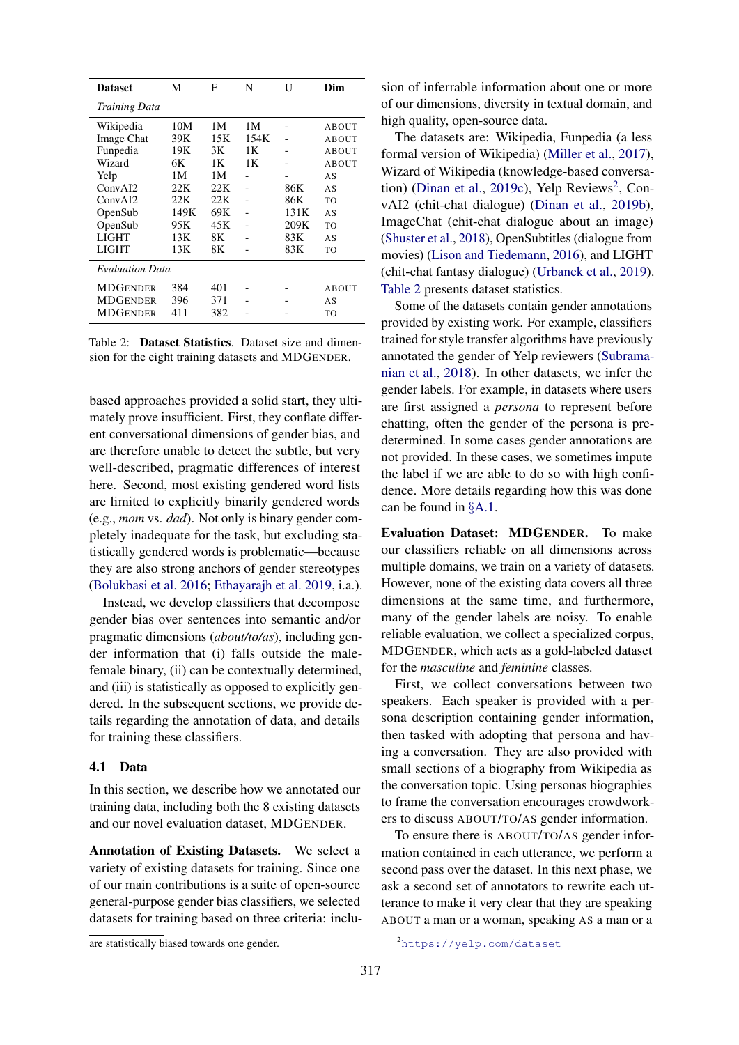<span id="page-3-1"></span>

| <b>Dataset</b>         | М    | F    | N    | U    | Dim   |
|------------------------|------|------|------|------|-------|
| <b>Training Data</b>   |      |      |      |      |       |
| Wikipedia              | 10M  | 1М   | 1М   |      | ABOUT |
| Image Chat             | 39K  | 15K  | 154K |      | ABOUT |
| Funpedia               | 19K  | 3K   | 1Κ   |      | ABOUT |
| Wizard                 | 6K   | 1Κ   | 1Κ   |      | ABOUT |
| Yelp                   | 1М   | 1М   |      |      | AS    |
| ConvAI2                | 22K  | 22.K |      | 86K  | AS    |
| ConvAI2                | 22K  | 22K  |      | 86K  | TO    |
| OpenSub                | 149K | 69K  |      | 131K | AS    |
| OpenSub                | 95K  | 45K  |      | 209K | TO    |
| <b>LIGHT</b>           | 13K  | 8К   |      | 83K  | AS    |
| LIGHT                  | 13K  | 8К   |      | 83K  | TO    |
| <b>Evaluation Data</b> |      |      |      |      |       |
| <b>MDGENDER</b>        | 384  | 401  |      |      | ABOUT |
| <b>MDGENDER</b>        | 396  | 371  |      |      | AS    |
| <b>MDGENDER</b>        | 411  | 382  |      |      | TO    |

Table 2: Dataset Statistics. Dataset size and dimension for the eight training datasets and MDGENDER.

based approaches provided a solid start, they ultimately prove insufficient. First, they conflate different conversational dimensions of gender bias, and are therefore unable to detect the subtle, but very well-described, pragmatic differences of interest here. Second, most existing gendered word lists are limited to explicitly binarily gendered words (e.g., *mom* vs. *dad*). Not only is binary gender completely inadequate for the task, but excluding statistically gendered words is problematic—because they are also strong anchors of gender stereotypes [\(Bolukbasi et al.](#page-8-0) [2016;](#page-8-0) [Ethayarajh et al.](#page-9-6) [2019,](#page-9-6) i.a.).

Instead, we develop classifiers that decompose gender bias over sentences into semantic and/or pragmatic dimensions (*about/to/as*), including gender information that (i) falls outside the malefemale binary, (ii) can be contextually determined, and (iii) is statistically as opposed to explicitly gendered. In the subsequent sections, we provide details regarding the annotation of data, and details for training these classifiers.

#### <span id="page-3-2"></span>4.1 Data

In this section, we describe how we annotated our training data, including both the 8 existing datasets and our novel evaluation dataset, MDGENDER.

Annotation of Existing Datasets. We select a variety of existing datasets for training. Since one of our main contributions is a suite of open-source general-purpose gender bias classifiers, we selected datasets for training based on three criteria: inclusion of inferrable information about one or more of our dimensions, diversity in textual domain, and high quality, open-source data.

The datasets are: Wikipedia, Funpedia (a less formal version of Wikipedia) [\(Miller et al.,](#page-11-14) [2017\)](#page-11-14), Wizard of Wikipedia (knowledge-based conversa-tion) [\(Dinan et al.,](#page-9-14) [2019c\)](#page-9-14), Yelp Reviews<sup>[2](#page-3-0)</sup>, ConvAI2 (chit-chat dialogue) [\(Dinan et al.,](#page-9-15) [2019b\)](#page-9-15), ImageChat (chit-chat dialogue about an image) [\(Shuster et al.,](#page-12-12) [2018\)](#page-12-12), OpenSubtitles (dialogue from movies) [\(Lison and Tiedemann,](#page-11-15) [2016\)](#page-11-15), and LIGHT (chit-chat fantasy dialogue) [\(Urbanek et al.,](#page-12-13) [2019\)](#page-12-13). [Table 2](#page-3-1) presents dataset statistics.

Some of the datasets contain gender annotations provided by existing work. For example, classifiers trained for style transfer algorithms have previously annotated the gender of Yelp reviewers [\(Subrama](#page-12-14)[nian et al.,](#page-12-14) [2018\)](#page-12-14). In other datasets, we infer the gender labels. For example, in datasets where users are first assigned a *persona* to represent before chatting, often the gender of the persona is predetermined. In some cases gender annotations are not provided. In these cases, we sometimes impute the label if we are able to do so with high confidence. More details regarding how this was done can be found in §[A.1.](#page-14-0)

Evaluation Dataset: MDGENDER. To make our classifiers reliable on all dimensions across multiple domains, we train on a variety of datasets. However, none of the existing data covers all three dimensions at the same time, and furthermore, many of the gender labels are noisy. To enable reliable evaluation, we collect a specialized corpus, MDGENDER, which acts as a gold-labeled dataset for the *masculine* and *feminine* classes.

First, we collect conversations between two speakers. Each speaker is provided with a persona description containing gender information, then tasked with adopting that persona and having a conversation. They are also provided with small sections of a biography from Wikipedia as the conversation topic. Using personas biographies to frame the conversation encourages crowdworkers to discuss ABOUT/TO/AS gender information.

To ensure there is ABOUT/TO/AS gender information contained in each utterance, we perform a second pass over the dataset. In this next phase, we ask a second set of annotators to rewrite each utterance to make it very clear that they are speaking ABOUT a man or a woman, speaking AS a man or a

are statistically biased towards one gender.

<span id="page-3-0"></span><sup>2</sup><https://yelp.com/dataset>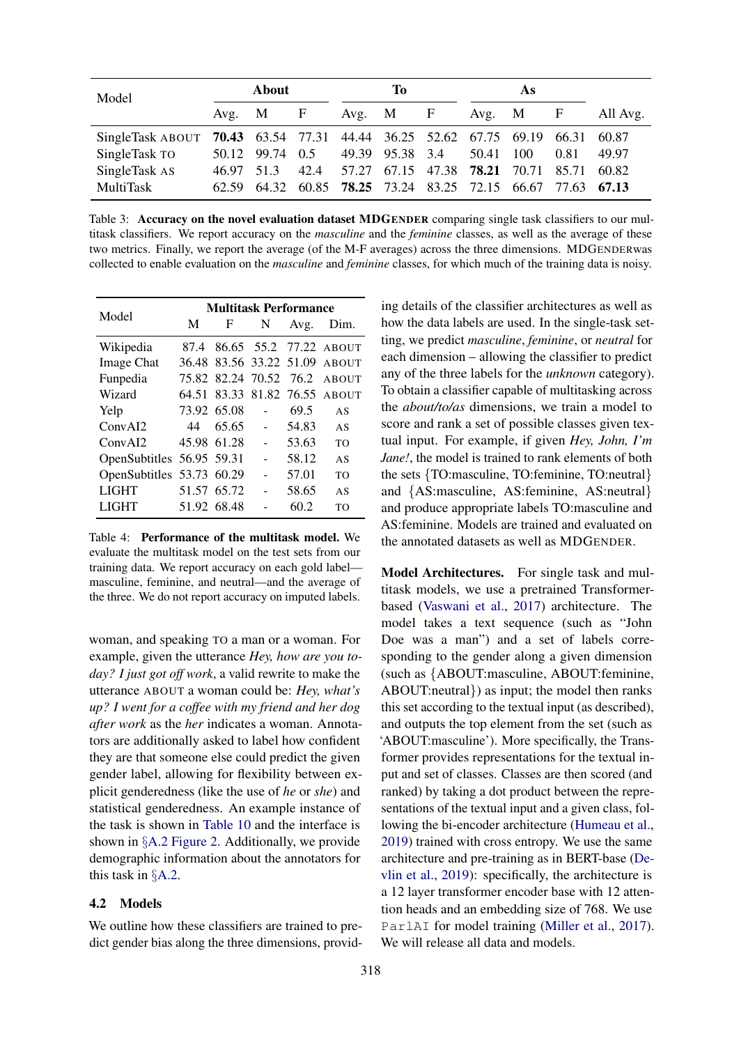<span id="page-4-1"></span>

| Model                                                                  |            | About<br>Ŧо     |      |  | As                                               |  |       |            |                   |          |
|------------------------------------------------------------------------|------------|-----------------|------|--|--------------------------------------------------|--|-------|------------|-------------------|----------|
|                                                                        |            | Avg. $M$ F      |      |  | Avg. $M$ F                                       |  |       | Avg. $M$ F |                   | All Avg. |
| SingleTask ABOUT 70.43 63.54 77.31 44.44 36.25 52.62 67.75 69.19 66.31 |            |                 |      |  |                                                  |  |       |            |                   | 60.87    |
| SingleTask TO                                                          |            | 50.12 99.74 0.5 |      |  | 49.39 95.38 3.4                                  |  | 50.41 | -100       | 0.81              | 49.97    |
| SingleTask AS                                                          | 46.97 51.3 |                 | 42.4 |  | 57.27 67.15 47.38 <b>78.21</b> 70.71 85.71 60.82 |  |       |            |                   |          |
| MultiTask                                                              |            |                 |      |  | 62.59 64.32 60.85 <b>78.25</b> 73.24 83.25 72.15 |  |       |            | 66.67 77.63 67.13 |          |

Table 3: Accuracy on the novel evaluation dataset MDGENDER comparing single task classifiers to our multitask classifiers. We report accuracy on the *masculine* and the *feminine* classes, as well as the average of these two metrics. Finally, we report the average (of the M-F averages) across the three dimensions. MDGENDERwas collected to enable evaluation on the *masculine* and *feminine* classes, for which much of the training data is noisy.

<span id="page-4-2"></span>

| Model                     | <b>Multitask Performance</b> |             |                         |       |                               |  |
|---------------------------|------------------------------|-------------|-------------------------|-------|-------------------------------|--|
|                           | M                            | F           | N                       | Avg.  | Dim.                          |  |
| Wikipedia                 |                              |             |                         |       | 87.4 86.65 55.2 77.22 ABOUT   |  |
| <b>Image Chat</b>         |                              |             | 36.48 83.56 33.22 51.09 |       | <b>ABOUT</b>                  |  |
| Funpedia                  |                              |             |                         |       | 75.82 82.24 70.52 76.2 ABOUT  |  |
| Wizard                    |                              |             |                         |       | 64.51 83.33 81.82 76.55 ABOUT |  |
| Yelp                      |                              | 73.92 65.08 | $\sim$                  | 69.5  | AS                            |  |
| ConvAI2                   | 44                           | 65.65       | $\overline{a}$          | 54.83 | AS                            |  |
| ConvAI2                   |                              | 45.98 61.28 |                         | 53.63 | TO                            |  |
| OpenSubtitles 56.95 59.31 |                              |             |                         | 58.12 | AS                            |  |
| OpenSubtitles 53.73 60.29 |                              |             |                         | 57.01 | T <sub>O</sub>                |  |
| <b>LIGHT</b>              |                              | 51.57 65.72 |                         | 58.65 | AS                            |  |
| <b>LIGHT</b>              |                              | 51.92 68.48 |                         | 60.2  | TΟ                            |  |

Table 4: Performance of the multitask model. We evaluate the multitask model on the test sets from our training data. We report accuracy on each gold label masculine, feminine, and neutral—and the average of the three. We do not report accuracy on imputed labels.

woman, and speaking TO a man or a woman. For example, given the utterance *Hey, how are you today? I just got off work*, a valid rewrite to make the utterance ABOUT a woman could be: *Hey, what's up? I went for a coffee with my friend and her dog after work* as the *her* indicates a woman. Annotators are additionally asked to label how confident they are that someone else could predict the given gender label, allowing for flexibility between explicit genderedness (like the use of *he* or *she*) and statistical genderedness. An example instance of the task is shown in [Table 10](#page-16-0) and the interface is shown in §[A.2](#page-15-0) [Figure 2.](#page-16-1) Additionally, we provide demographic information about the annotators for this task in §[A.2.](#page-15-0)

#### <span id="page-4-0"></span>4.2 Models

We outline how these classifiers are trained to predict gender bias along the three dimensions, provid-

ing details of the classifier architectures as well as how the data labels are used. In the single-task setting, we predict *masculine*, *feminine*, or *neutral* for each dimension – allowing the classifier to predict any of the three labels for the *unknown* category). To obtain a classifier capable of multitasking across the *about/to/as* dimensions, we train a model to score and rank a set of possible classes given textual input. For example, if given *Hey, John, I'm Jane!*, the model is trained to rank elements of both the sets {TO:masculine, TO:feminine, TO:neutral} and {AS:masculine, AS:feminine, AS:neutral} and produce appropriate labels TO:masculine and AS:feminine. Models are trained and evaluated on the annotated datasets as well as MDGENDER.

Model Architectures. For single task and multitask models, we use a pretrained Transformerbased [\(Vaswani et al.,](#page-12-15) [2017\)](#page-12-15) architecture. The model takes a text sequence (such as "John Doe was a man") and a set of labels corresponding to the gender along a given dimension (such as {ABOUT:masculine, ABOUT:feminine, ABOUT:neutral}) as input; the model then ranks this set according to the textual input (as described), and outputs the top element from the set (such as 'ABOUT:masculine'). More specifically, the Transformer provides representations for the textual input and set of classes. Classes are then scored (and ranked) by taking a dot product between the representations of the textual input and a given class, following the bi-encoder architecture [\(Humeau et al.,](#page-10-15) [2019\)](#page-10-15) trained with cross entropy. We use the same architecture and pre-training as in BERT-base [\(De](#page-9-16)[vlin et al.,](#page-9-16) [2019\)](#page-9-16): specifically, the architecture is a 12 layer transformer encoder base with 12 attention heads and an embedding size of 768. We use ParlAI for model training [\(Miller et al.,](#page-11-14) [2017\)](#page-11-14). We will release all data and models.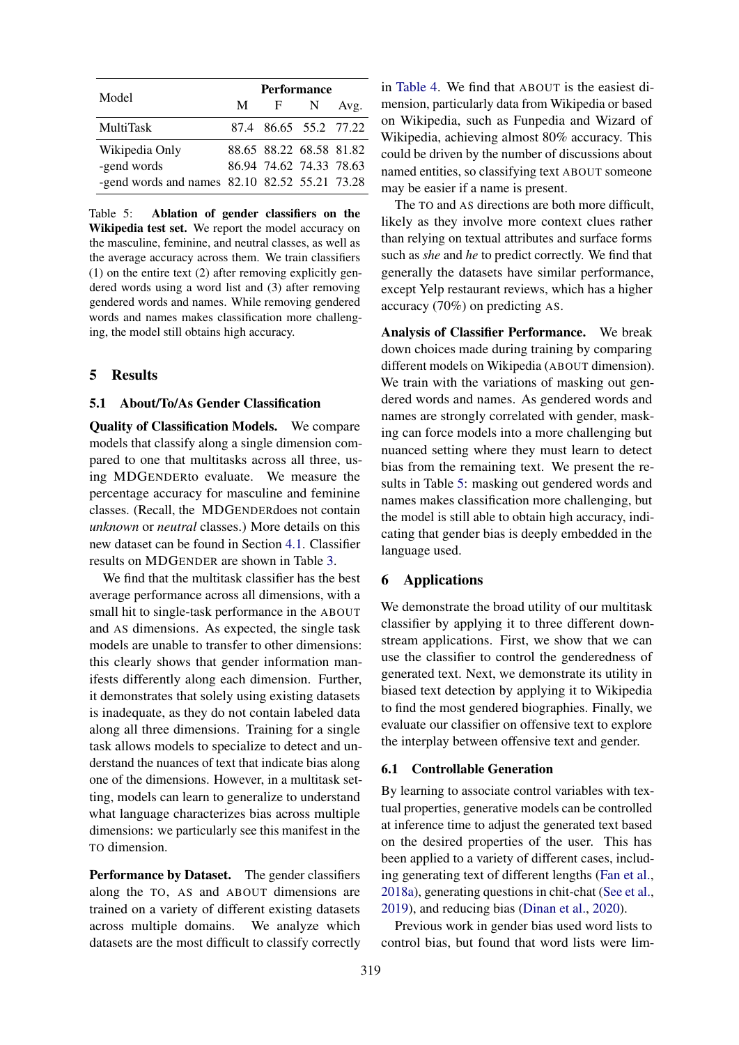<span id="page-5-1"></span>

| Model                                         | <b>Performance</b> |                         |   |      |  |
|-----------------------------------------------|--------------------|-------------------------|---|------|--|
|                                               | M                  | $\mathbf{F}$            | N | Avg. |  |
| <b>MultiTask</b>                              |                    | 87.4 86.65 55.2 77.22   |   |      |  |
| Wikipedia Only                                |                    | 88.65 88.22 68.58 81.82 |   |      |  |
| -gend words                                   |                    | 86.94 74.62 74.33 78.63 |   |      |  |
| -gend words and names 82.10 82.52 55.21 73.28 |                    |                         |   |      |  |

Table 5: Ablation of gender classifiers on the Wikipedia test set. We report the model accuracy on the masculine, feminine, and neutral classes, as well as the average accuracy across them. We train classifiers (1) on the entire text (2) after removing explicitly gendered words using a word list and (3) after removing gendered words and names. While removing gendered words and names makes classification more challenging, the model still obtains high accuracy.

#### <span id="page-5-0"></span>5 Results

#### 5.1 About/To/As Gender Classification

Quality of Classification Models. We compare models that classify along a single dimension compared to one that multitasks across all three, using MDGENDERto evaluate. We measure the percentage accuracy for masculine and feminine classes. (Recall, the MDGENDERdoes not contain *unknown* or *neutral* classes.) More details on this new dataset can be found in Section [4.1.](#page-3-2) Classifier results on MDGENDER are shown in Table [3.](#page-4-1)

We find that the multitask classifier has the best average performance across all dimensions, with a small hit to single-task performance in the ABOUT and AS dimensions. As expected, the single task models are unable to transfer to other dimensions: this clearly shows that gender information manifests differently along each dimension. Further, it demonstrates that solely using existing datasets is inadequate, as they do not contain labeled data along all three dimensions. Training for a single task allows models to specialize to detect and understand the nuances of text that indicate bias along one of the dimensions. However, in a multitask setting, models can learn to generalize to understand what language characterizes bias across multiple dimensions: we particularly see this manifest in the TO dimension.

Performance by Dataset. The gender classifiers along the TO, AS and ABOUT dimensions are trained on a variety of different existing datasets across multiple domains. We analyze which datasets are the most difficult to classify correctly in [Table 4.](#page-4-2) We find that ABOUT is the easiest dimension, particularly data from Wikipedia or based on Wikipedia, such as Funpedia and Wizard of Wikipedia, achieving almost 80% accuracy. This could be driven by the number of discussions about named entities, so classifying text ABOUT someone may be easier if a name is present.

The TO and AS directions are both more difficult, likely as they involve more context clues rather than relying on textual attributes and surface forms such as *she* and *he* to predict correctly. We find that generally the datasets have similar performance, except Yelp restaurant reviews, which has a higher accuracy (70%) on predicting AS.

Analysis of Classifier Performance. We break down choices made during training by comparing different models on Wikipedia (ABOUT dimension). We train with the variations of masking out gendered words and names. As gendered words and names are strongly correlated with gender, masking can force models into a more challenging but nuanced setting where they must learn to detect bias from the remaining text. We present the results in Table [5:](#page-5-1) masking out gendered words and names makes classification more challenging, but the model is still able to obtain high accuracy, indicating that gender bias is deeply embedded in the language used.

#### 6 Applications

We demonstrate the broad utility of our multitask classifier by applying it to three different downstream applications. First, we show that we can use the classifier to control the genderedness of generated text. Next, we demonstrate its utility in biased text detection by applying it to Wikipedia to find the most gendered biographies. Finally, we evaluate our classifier on offensive text to explore the interplay between offensive text and gender.

## <span id="page-5-2"></span>6.1 Controllable Generation

By learning to associate control variables with textual properties, generative models can be controlled at inference time to adjust the generated text based on the desired properties of the user. This has been applied to a variety of different cases, including generating text of different lengths [\(Fan et al.,](#page-9-17) [2018a\)](#page-9-17), generating questions in chit-chat [\(See et al.,](#page-12-16) [2019\)](#page-12-16), and reducing bias [\(Dinan et al.,](#page-9-0) [2020\)](#page-9-0).

Previous work in gender bias used word lists to control bias, but found that word lists were lim-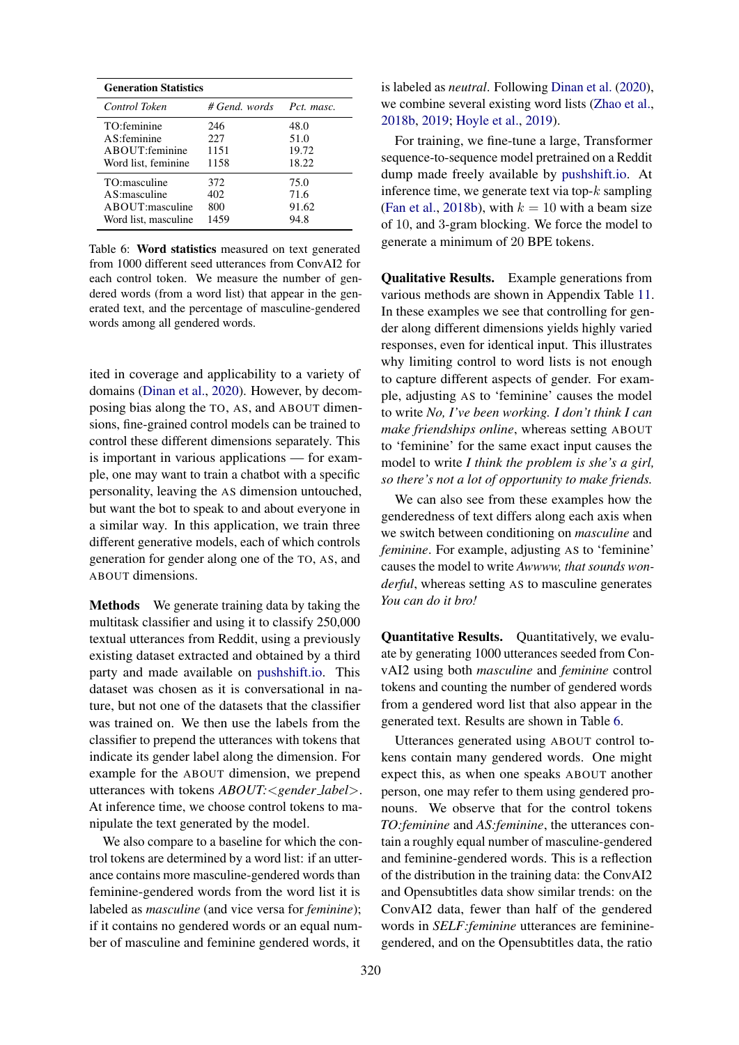<span id="page-6-0"></span>

| <b>Generation Statistics</b> |               |            |  |  |
|------------------------------|---------------|------------|--|--|
| Control Token                | # Gend. words | Pct. masc. |  |  |
| TO:feminine                  | 246           | 48.0       |  |  |
| $AS:$ feminine               | 227           | 51.0       |  |  |
| ABOUT: feminine              | 1151          | 19.72      |  |  |
| Word list, feminine          | 1158          | 18.22      |  |  |
| TO:masculine                 | 372           | 75.0       |  |  |
| $AS:$ masculine              | 402           | 71.6       |  |  |
| ABOUT:masculine              | 800           | 91.62      |  |  |
| Word list, masculine         | 1459          | 94.8       |  |  |

Table 6: Word statistics measured on text generated from 1000 different seed utterances from ConvAI2 for each control token. We measure the number of gendered words (from a word list) that appear in the generated text, and the percentage of masculine-gendered words among all gendered words.

ited in coverage and applicability to a variety of domains [\(Dinan et al.,](#page-9-0) [2020\)](#page-9-0). However, by decomposing bias along the TO, AS, and ABOUT dimensions, fine-grained control models can be trained to control these different dimensions separately. This is important in various applications — for example, one may want to train a chatbot with a specific personality, leaving the AS dimension untouched, but want the bot to speak to and about everyone in a similar way. In this application, we train three different generative models, each of which controls generation for gender along one of the TO, AS, and ABOUT dimensions.

Methods We generate training data by taking the multitask classifier and using it to classify 250,000 textual utterances from Reddit, using a previously existing dataset extracted and obtained by a third party and made available on [pushshift.io.](pushshift.io) This dataset was chosen as it is conversational in nature, but not one of the datasets that the classifier was trained on. We then use the labels from the classifier to prepend the utterances with tokens that indicate its gender label along the dimension. For example for the ABOUT dimension, we prepend utterances with tokens *ABOUT:*<*gender label*>. At inference time, we choose control tokens to manipulate the text generated by the model.

We also compare to a baseline for which the control tokens are determined by a word list: if an utterance contains more masculine-gendered words than feminine-gendered words from the word list it is labeled as *masculine* (and vice versa for *feminine*); if it contains no gendered words or an equal number of masculine and feminine gendered words, it

is labeled as *neutral*. Following [Dinan et al.](#page-9-0) [\(2020\)](#page-9-0), we combine several existing word lists [\(Zhao et al.,](#page-13-0) [2018b,](#page-13-0) [2019;](#page-12-1) [Hoyle et al.,](#page-10-12) [2019\)](#page-10-12).

For training, we fine-tune a large, Transformer sequence-to-sequence model pretrained on a Reddit dump made freely available by [pushshift.io.](pushshift.io) At inference time, we generate text via top- $k$  sampling [\(Fan et al.,](#page-10-16) [2018b\)](#page-10-16), with  $k = 10$  with a beam size of 10, and 3-gram blocking. We force the model to generate a minimum of 20 BPE tokens.

Qualitative Results. Example generations from various methods are shown in Appendix Table [11.](#page-17-0) In these examples we see that controlling for gender along different dimensions yields highly varied responses, even for identical input. This illustrates why limiting control to word lists is not enough to capture different aspects of gender. For example, adjusting AS to 'feminine' causes the model to write *No, I've been working. I don't think I can make friendships online*, whereas setting ABOUT to 'feminine' for the same exact input causes the model to write *I think the problem is she's a girl, so there's not a lot of opportunity to make friends.*

We can also see from these examples how the genderedness of text differs along each axis when we switch between conditioning on *masculine* and *feminine*. For example, adjusting AS to 'feminine' causes the model to write *Awwww, that sounds wonderful*, whereas setting AS to masculine generates *You can do it bro!*

Quantitative Results. Quantitatively, we evaluate by generating 1000 utterances seeded from ConvAI2 using both *masculine* and *feminine* control tokens and counting the number of gendered words from a gendered word list that also appear in the generated text. Results are shown in Table [6.](#page-6-0)

Utterances generated using ABOUT control tokens contain many gendered words. One might expect this, as when one speaks ABOUT another person, one may refer to them using gendered pronouns. We observe that for the control tokens *TO:feminine* and *AS:feminine*, the utterances contain a roughly equal number of masculine-gendered and feminine-gendered words. This is a reflection of the distribution in the training data: the ConvAI2 and Opensubtitles data show similar trends: on the ConvAI2 data, fewer than half of the gendered words in *SELF:feminine* utterances are femininegendered, and on the Opensubtitles data, the ratio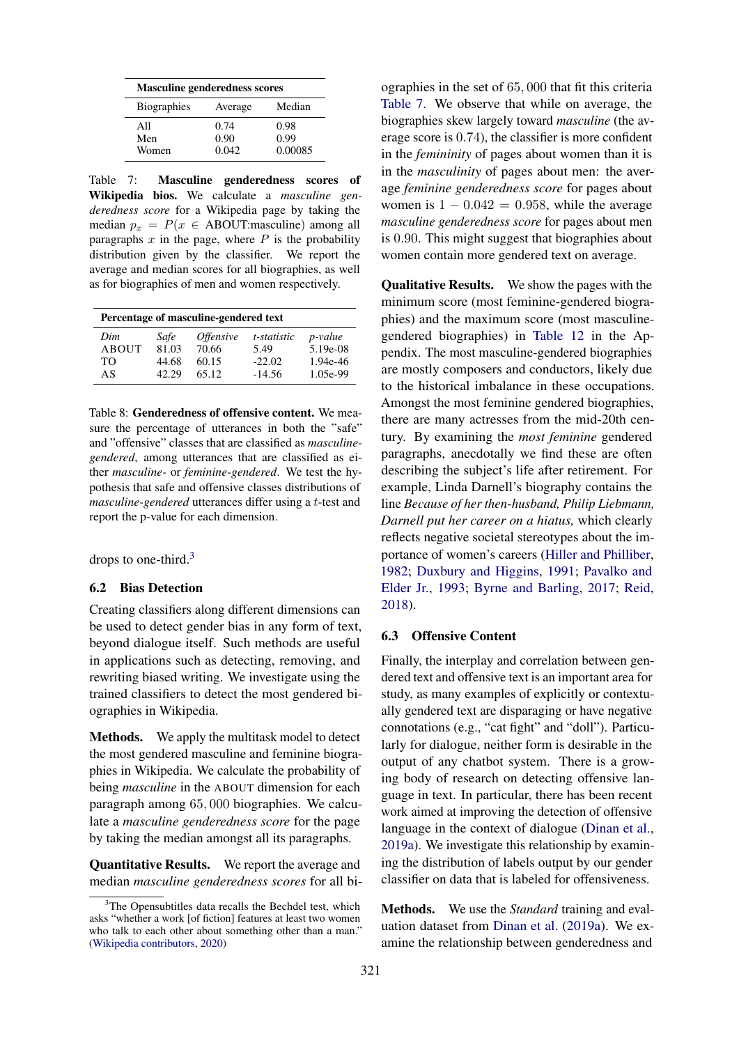<span id="page-7-1"></span>

| <b>Masculine genderedness scores</b> |         |         |  |  |
|--------------------------------------|---------|---------|--|--|
| <b>Biographies</b>                   | Average | Median  |  |  |
| All                                  | 0.74    | 0.98    |  |  |
| Men                                  | 0.90    | 0.99    |  |  |
| Women                                | 0.042   | 0.00085 |  |  |

Table 7: Masculine genderedness scores of Wikipedia bios. We calculate a *masculine genderedness score* for a Wikipedia page by taking the median  $p_x = P(x \in \text{ABOUT}:\text{maxculine})$  among all paragraphs  $x$  in the page, where  $P$  is the probability distribution given by the classifier. We report the average and median scores for all biographies, as well as for biographies of men and women respectively.

<span id="page-7-2"></span>

| Percentage of masculine-gendered text |       |                         |             |            |  |
|---------------------------------------|-------|-------------------------|-------------|------------|--|
| Dim                                   | Safe  | <i><b>Offensive</b></i> | t-statistic | p-value    |  |
| ABOUT                                 | 81.03 | 70.66                   | 5.49        | $5.19e-08$ |  |
| TΟ                                    | 44.68 | 60.15                   | $-22.02$    | 1.94e-46   |  |
| AS                                    | 42.29 | 65.12                   | $-14.56$    | 1.05e-99   |  |

Table 8: Genderedness of offensive content. We measure the percentage of utterances in both the "safe" and "offensive" classes that are classified as *masculinegendered*, among utterances that are classified as either *masculine-* or *feminine-gendered*. We test the hypothesis that safe and offensive classes distributions of *masculine-gendered* utterances differ using a t-test and report the p-value for each dimension.

drops to one-third.[3](#page-7-0)

#### <span id="page-7-3"></span>6.2 Bias Detection

Creating classifiers along different dimensions can be used to detect gender bias in any form of text, beyond dialogue itself. Such methods are useful in applications such as detecting, removing, and rewriting biased writing. We investigate using the trained classifiers to detect the most gendered biographies in Wikipedia.

Methods. We apply the multitask model to detect the most gendered masculine and feminine biographies in Wikipedia. We calculate the probability of being *masculine* in the ABOUT dimension for each paragraph among 65, 000 biographies. We calculate a *masculine genderedness score* for the page by taking the median amongst all its paragraphs.

Quantitative Results. We report the average and median *masculine genderedness scores* for all bi-

ographies in the set of 65, 000 that fit this criteria [Table 7.](#page-7-1) We observe that while on average, the biographies skew largely toward *masculine* (the average score is 0.74), the classifier is more confident in the *femininity* of pages about women than it is in the *masculinity* of pages about men: the average *feminine genderedness score* for pages about women is  $1 - 0.042 = 0.958$ , while the average *masculine genderedness score* for pages about men is 0.90. This might suggest that biographies about women contain more gendered text on average.

Qualitative Results. We show the pages with the minimum score (most feminine-gendered biographies) and the maximum score (most masculinegendered biographies) in [Table 12](#page-17-1) in the Appendix. The most masculine-gendered biographies are mostly composers and conductors, likely due to the historical imbalance in these occupations. Amongst the most feminine gendered biographies, there are many actresses from the mid-20th century. By examining the *most feminine* gendered paragraphs, anecdotally we find these are often describing the subject's life after retirement. For example, Linda Darnell's biography contains the line *Because of her then-husband, Philip Liebmann, Darnell put her career on a hiatus,* which clearly reflects negative societal stereotypes about the importance of women's careers [\(Hiller and Philliber,](#page-10-17) [1982;](#page-10-17) [Duxbury and Higgins,](#page-9-18) [1991;](#page-9-18) [Pavalko and](#page-11-16) [Elder Jr.,](#page-11-16) [1993;](#page-11-16) [Byrne and Barling,](#page-8-9) [2017;](#page-8-9) [Reid,](#page-11-17) [2018\)](#page-11-17).

#### 6.3 Offensive Content

Finally, the interplay and correlation between gendered text and offensive text is an important area for study, as many examples of explicitly or contextually gendered text are disparaging or have negative connotations (e.g., "cat fight" and "doll"). Particularly for dialogue, neither form is desirable in the output of any chatbot system. There is a growing body of research on detecting offensive language in text. In particular, there has been recent work aimed at improving the detection of offensive language in the context of dialogue [\(Dinan et al.,](#page-9-19) [2019a\)](#page-9-19). We investigate this relationship by examining the distribution of labels output by our gender classifier on data that is labeled for offensiveness.

Methods. We use the *Standard* training and evaluation dataset from [Dinan et al.](#page-9-19) [\(2019a\)](#page-9-19). We examine the relationship between genderedness and

<span id="page-7-0"></span> $3$ The Opensubtitles data recalls the Bechdel test, which asks "whether a work [of fiction] features at least two women who talk to each other about something other than a man." [\(Wikipedia contributors,](#page-12-17) [2020\)](#page-12-17)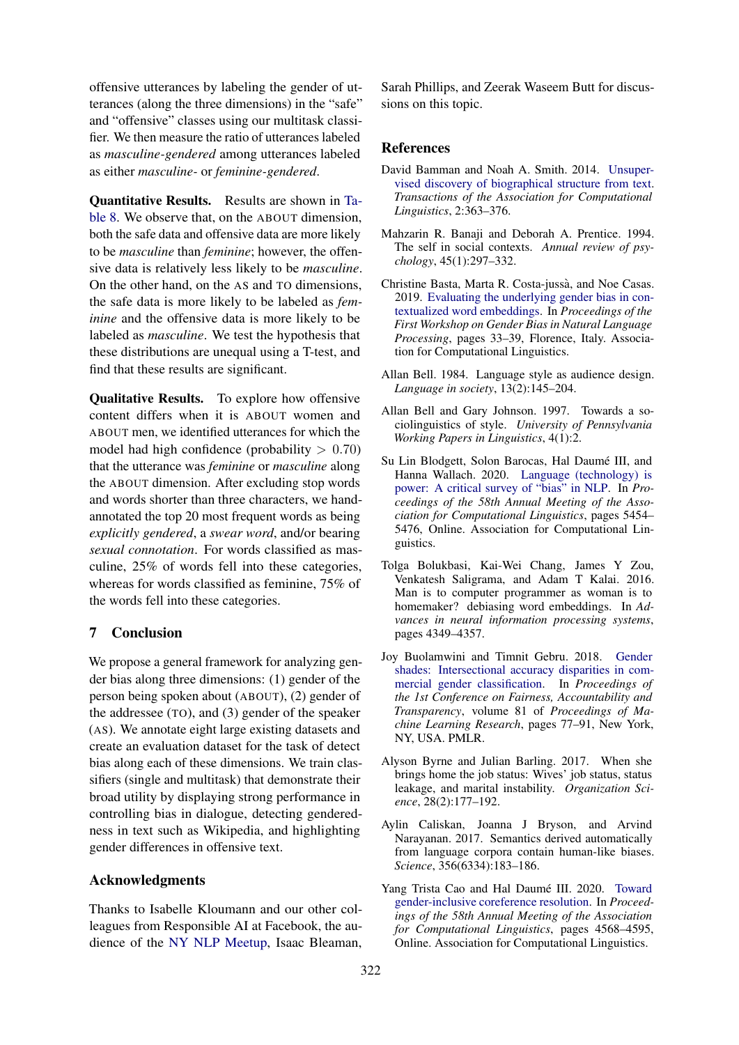offensive utterances by labeling the gender of utterances (along the three dimensions) in the "safe" and "offensive" classes using our multitask classifier. We then measure the ratio of utterances labeled as *masculine-gendered* among utterances labeled as either *masculine-* or *feminine-gendered*.

Quantitative Results. Results are shown in [Ta](#page-7-2)[ble 8.](#page-7-2) We observe that, on the ABOUT dimension, both the safe data and offensive data are more likely to be *masculine* than *feminine*; however, the offensive data is relatively less likely to be *masculine*. On the other hand, on the AS and TO dimensions, the safe data is more likely to be labeled as *feminine* and the offensive data is more likely to be labeled as *masculine*. We test the hypothesis that these distributions are unequal using a T-test, and find that these results are significant.

Qualitative Results. To explore how offensive content differs when it is ABOUT women and ABOUT men, we identified utterances for which the model had high confidence (probability  $> 0.70$ ) that the utterance was *feminine* or *masculine* along the ABOUT dimension. After excluding stop words and words shorter than three characters, we handannotated the top 20 most frequent words as being *explicitly gendered*, a *swear word*, and/or bearing *sexual connotation*. For words classified as masculine, 25% of words fell into these categories, whereas for words classified as feminine, 75% of the words fell into these categories.

#### 7 Conclusion

We propose a general framework for analyzing gender bias along three dimensions: (1) gender of the person being spoken about (ABOUT), (2) gender of the addressee (TO), and (3) gender of the speaker (AS). We annotate eight large existing datasets and create an evaluation dataset for the task of detect bias along each of these dimensions. We train classifiers (single and multitask) that demonstrate their broad utility by displaying strong performance in controlling bias in dialogue, detecting genderedness in text such as Wikipedia, and highlighting gender differences in offensive text.

#### Acknowledgments

Thanks to Isabelle Kloumann and our other colleagues from Responsible AI at Facebook, the audience of the [NY NLP Meetup,](https://www.meetup.com/NY-NLP/) Isaac Bleaman,

Sarah Phillips, and Zeerak Waseem Butt for discussions on this topic.

#### **References**

- <span id="page-8-10"></span>David Bamman and Noah A. Smith. 2014. [Unsuper](https://doi.org/10.1162/tacl_a_00189)[vised discovery of biographical structure from text.](https://doi.org/10.1162/tacl_a_00189) *Transactions of the Association for Computational Linguistics*, 2:363–376.
- <span id="page-8-8"></span>Mahzarin R. Banaji and Deborah A. Prentice. 1994. The self in social contexts. *Annual review of psychology*, 45(1):297–332.
- <span id="page-8-2"></span>Christine Basta, Marta R. Costa-jussa, and Noe Casas. ` 2019. [Evaluating the underlying gender bias in con](https://doi.org/10.18653/v1/W19-3805)[textualized word embeddings.](https://doi.org/10.18653/v1/W19-3805) In *Proceedings of the First Workshop on Gender Bias in Natural Language Processing*, pages 33–39, Florence, Italy. Association for Computational Linguistics.
- <span id="page-8-6"></span>Allan Bell. 1984. Language style as audience design. *Language in society*, 13(2):145–204.
- <span id="page-8-7"></span>Allan Bell and Gary Johnson. 1997. Towards a sociolinguistics of style. *University of Pennsylvania Working Papers in Linguistics*, 4(1):2.
- <span id="page-8-5"></span>Su Lin Blodgett, Solon Barocas, Hal Daumé III, and Hanna Wallach. 2020. [Language \(technology\) is](https://doi.org/10.18653/v1/2020.acl-main.485) [power: A critical survey of "bias" in NLP.](https://doi.org/10.18653/v1/2020.acl-main.485) In *Proceedings of the 58th Annual Meeting of the Association for Computational Linguistics*, pages 5454– 5476, Online. Association for Computational Linguistics.
- <span id="page-8-0"></span>Tolga Bolukbasi, Kai-Wei Chang, James Y Zou, Venkatesh Saligrama, and Adam T Kalai. 2016. Man is to computer programmer as woman is to homemaker? debiasing word embeddings. In *Advances in neural information processing systems*, pages 4349–4357.
- <span id="page-8-4"></span>Joy Buolamwini and Timnit Gebru. 2018. [Gender](http://proceedings.mlr.press/v81/buolamwini18a.html) [shades: Intersectional accuracy disparities in com](http://proceedings.mlr.press/v81/buolamwini18a.html)[mercial gender classification.](http://proceedings.mlr.press/v81/buolamwini18a.html) In *Proceedings of the 1st Conference on Fairness, Accountability and Transparency*, volume 81 of *Proceedings of Machine Learning Research*, pages 77–91, New York, NY, USA. PMLR.
- <span id="page-8-9"></span>Alyson Byrne and Julian Barling. 2017. When she brings home the job status: Wives' job status, status leakage, and marital instability. *Organization Science*, 28(2):177–192.
- <span id="page-8-1"></span>Aylin Caliskan, Joanna J Bryson, and Arvind Narayanan. 2017. Semantics derived automatically from language corpora contain human-like biases. *Science*, 356(6334):183–186.
- <span id="page-8-3"></span>Yang Trista Cao and Hal Daumé III. 2020. [Toward](https://doi.org/10.18653/v1/2020.acl-main.418) [gender-inclusive coreference resolution.](https://doi.org/10.18653/v1/2020.acl-main.418) In *Proceedings of the 58th Annual Meeting of the Association for Computational Linguistics*, pages 4568–4595, Online. Association for Computational Linguistics.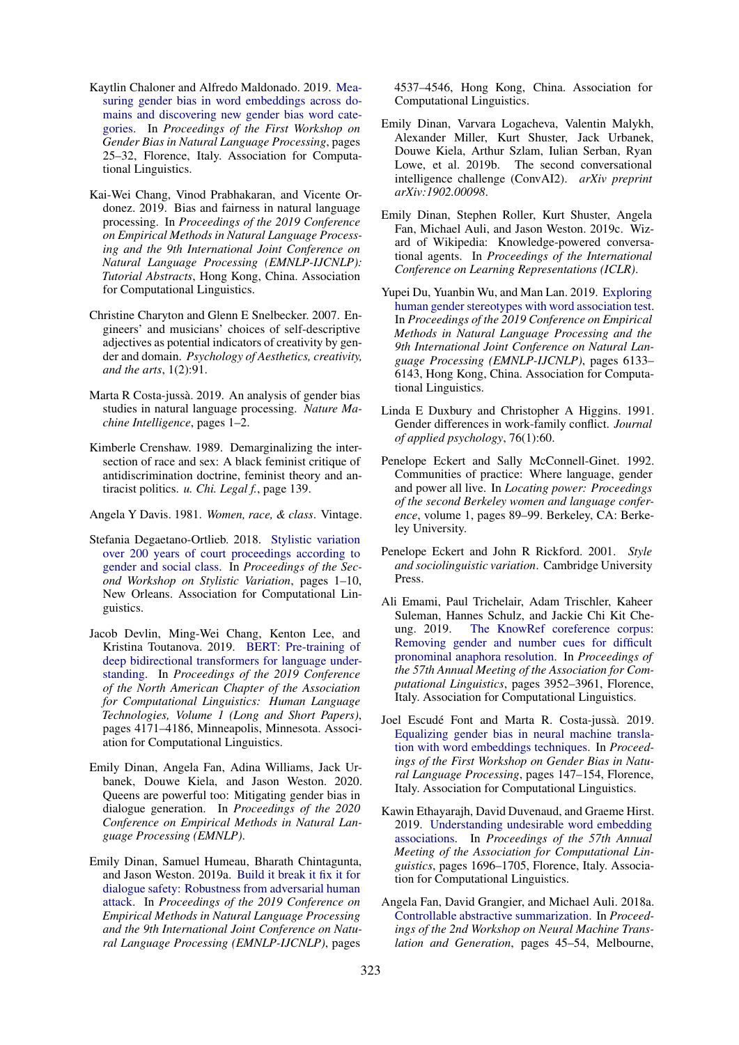- <span id="page-9-4"></span>Kaytlin Chaloner and Alfredo Maldonado. 2019. [Mea](https://doi.org/10.18653/v1/W19-3804)[suring gender bias in word embeddings across do](https://doi.org/10.18653/v1/W19-3804)[mains and discovering new gender bias word cate](https://doi.org/10.18653/v1/W19-3804)[gories.](https://doi.org/10.18653/v1/W19-3804) In *Proceedings of the First Workshop on Gender Bias in Natural Language Processing*, pages 25–32, Florence, Italy. Association for Computational Linguistics.
- <span id="page-9-2"></span>Kai-Wei Chang, Vinod Prabhakaran, and Vicente Ordonez. 2019. Bias and fairness in natural language processing. In *Proceedings of the 2019 Conference on Empirical Methods in Natural Language Processing and the 9th International Joint Conference on Natural Language Processing (EMNLP-IJCNLP): Tutorial Abstracts*, Hong Kong, China. Association for Computational Linguistics.
- <span id="page-9-13"></span>Christine Charyton and Glenn E Snelbecker. 2007. Engineers' and musicians' choices of self-descriptive adjectives as potential indicators of creativity by gender and domain. *Psychology of Aesthetics, creativity, and the arts*, 1(2):91.
- <span id="page-9-3"></span>Marta R Costa-jussa. 2019. An analysis of gender bias ` studies in natural language processing. *Nature Machine Intelligence*, pages 1–2.
- <span id="page-9-10"></span>Kimberle Crenshaw. 1989. Demarginalizing the intersection of race and sex: A black feminist critique of antidiscrimination doctrine, feminist theory and antiracist politics. *u. Chi. Legal f.*, page 139.
- <span id="page-9-9"></span>Angela Y Davis. 1981. *Women, race, & class*. Vintage.
- <span id="page-9-8"></span>Stefania Degaetano-Ortlieb. 2018. [Stylistic variation](https://doi.org/10.18653/v1/W18-1601) [over 200 years of court proceedings according to](https://doi.org/10.18653/v1/W18-1601) [gender and social class.](https://doi.org/10.18653/v1/W18-1601) In *Proceedings of the Second Workshop on Stylistic Variation*, pages 1–10, New Orleans. Association for Computational Linguistics.
- <span id="page-9-16"></span>Jacob Devlin, Ming-Wei Chang, Kenton Lee, and Kristina Toutanova. 2019. [BERT: Pre-training of](https://doi.org/10.18653/v1/N19-1423) [deep bidirectional transformers for language under](https://doi.org/10.18653/v1/N19-1423)[standing.](https://doi.org/10.18653/v1/N19-1423) In *Proceedings of the 2019 Conference of the North American Chapter of the Association for Computational Linguistics: Human Language Technologies, Volume 1 (Long and Short Papers)*, pages 4171–4186, Minneapolis, Minnesota. Association for Computational Linguistics.
- <span id="page-9-0"></span>Emily Dinan, Angela Fan, Adina Williams, Jack Urbanek, Douwe Kiela, and Jason Weston. 2020. Queens are powerful too: Mitigating gender bias in dialogue generation. In *Proceedings of the 2020 Conference on Empirical Methods in Natural Language Processing (EMNLP)*.
- <span id="page-9-19"></span>Emily Dinan, Samuel Humeau, Bharath Chintagunta, and Jason Weston. 2019a. [Build it break it fix it for](https://doi.org/10.18653/v1/D19-1461) [dialogue safety: Robustness from adversarial human](https://doi.org/10.18653/v1/D19-1461) [attack.](https://doi.org/10.18653/v1/D19-1461) In *Proceedings of the 2019 Conference on Empirical Methods in Natural Language Processing and the 9th International Joint Conference on Natural Language Processing (EMNLP-IJCNLP)*, pages

4537–4546, Hong Kong, China. Association for Computational Linguistics.

- <span id="page-9-15"></span>Emily Dinan, Varvara Logacheva, Valentin Malykh, Alexander Miller, Kurt Shuster, Jack Urbanek, Douwe Kiela, Arthur Szlam, Iulian Serban, Ryan Lowe, et al. 2019b. The second conversational intelligence challenge (ConvAI2). *arXiv preprint arXiv:1902.00098*.
- <span id="page-9-14"></span>Emily Dinan, Stephen Roller, Kurt Shuster, Angela Fan, Michael Auli, and Jason Weston. 2019c. Wizard of Wikipedia: Knowledge-powered conversational agents. In *Proceedings of the International Conference on Learning Representations (ICLR)*.
- <span id="page-9-5"></span>Yupei Du, Yuanbin Wu, and Man Lan. 2019. [Exploring](https://doi.org/10.18653/v1/D19-1635) [human gender stereotypes with word association test.](https://doi.org/10.18653/v1/D19-1635) In *Proceedings of the 2019 Conference on Empirical Methods in Natural Language Processing and the 9th International Joint Conference on Natural Language Processing (EMNLP-IJCNLP)*, pages 6133– 6143, Hong Kong, China. Association for Computational Linguistics.
- <span id="page-9-18"></span>Linda E Duxbury and Christopher A Higgins. 1991. Gender differences in work-family conflict. *Journal of applied psychology*, 76(1):60.
- <span id="page-9-11"></span>Penelope Eckert and Sally McConnell-Ginet. 1992. Communities of practice: Where language, gender and power all live. In *Locating power: Proceedings of the second Berkeley women and language conference*, volume 1, pages 89–99. Berkeley, CA: Berkeley University.
- <span id="page-9-12"></span>Penelope Eckert and John R Rickford. 2001. *Style and sociolinguistic variation*. Cambridge University Press.
- <span id="page-9-1"></span>Ali Emami, Paul Trichelair, Adam Trischler, Kaheer Suleman, Hannes Schulz, and Jackie Chi Kit Cheung. 2019. [The KnowRef coreference corpus:](https://doi.org/10.18653/v1/P19-1386) [Removing gender and number cues for difficult](https://doi.org/10.18653/v1/P19-1386) [pronominal anaphora resolution.](https://doi.org/10.18653/v1/P19-1386) In *Proceedings of the 57th Annual Meeting of the Association for Computational Linguistics*, pages 3952–3961, Florence, Italy. Association for Computational Linguistics.
- <span id="page-9-7"></span>Joel Escudé Font and Marta R. Costa-jussà. 2019. [Equalizing gender bias in neural machine transla](https://doi.org/10.18653/v1/W19-3821)[tion with word embeddings techniques.](https://doi.org/10.18653/v1/W19-3821) In *Proceedings of the First Workshop on Gender Bias in Natural Language Processing*, pages 147–154, Florence, Italy. Association for Computational Linguistics.
- <span id="page-9-6"></span>Kawin Ethayarajh, David Duvenaud, and Graeme Hirst. 2019. [Understanding undesirable word embedding](https://doi.org/10.18653/v1/P19-1166) [associations.](https://doi.org/10.18653/v1/P19-1166) In *Proceedings of the 57th Annual Meeting of the Association for Computational Linguistics*, pages 1696–1705, Florence, Italy. Association for Computational Linguistics.
- <span id="page-9-17"></span>Angela Fan, David Grangier, and Michael Auli. 2018a. [Controllable abstractive summarization.](https://doi.org/10.18653/v1/W18-2706) In *Proceedings of the 2nd Workshop on Neural Machine Translation and Generation*, pages 45–54, Melbourne,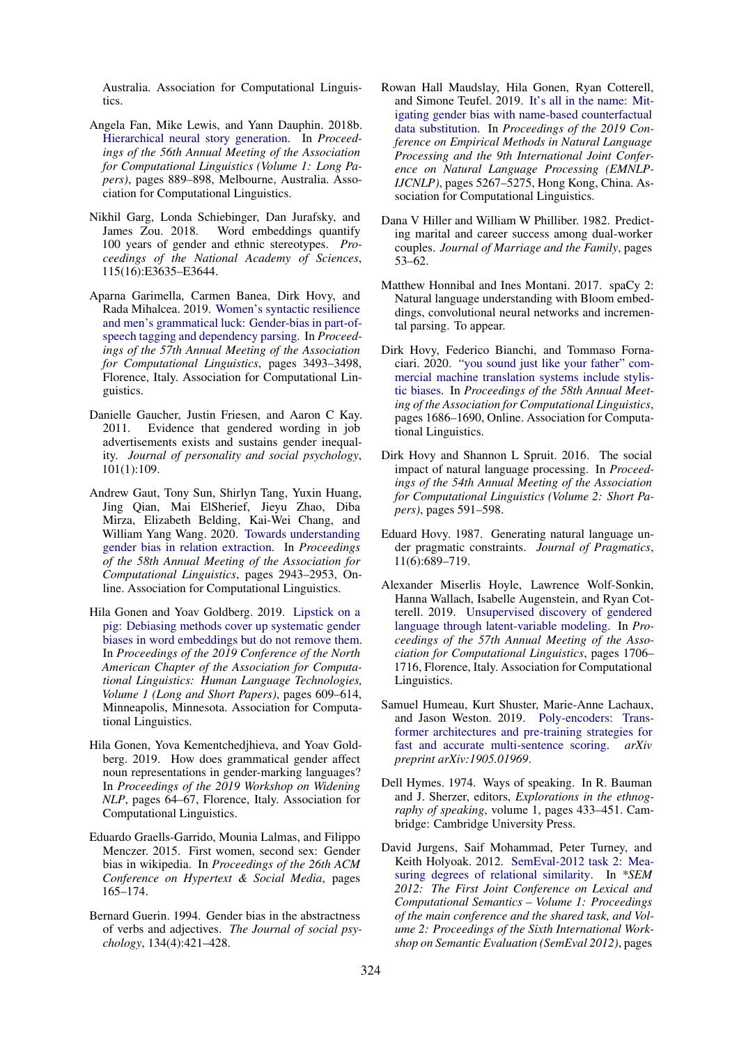Australia. Association for Computational Linguistics.

- <span id="page-10-16"></span>Angela Fan, Mike Lewis, and Yann Dauphin. 2018b. [Hierarchical neural story generation.](https://doi.org/10.18653/v1/P18-1082) In *Proceedings of the 56th Annual Meeting of the Association for Computational Linguistics (Volume 1: Long Papers)*, pages 889–898, Melbourne, Australia. Association for Computational Linguistics.
- <span id="page-10-1"></span>Nikhil Garg, Londa Schiebinger, Dan Jurafsky, and Word embeddings quantify 100 years of gender and ethnic stereotypes. *Proceedings of the National Academy of Sciences*, 115(16):E3635–E3644.
- <span id="page-10-7"></span>Aparna Garimella, Carmen Banea, Dirk Hovy, and Rada Mihalcea. 2019. [Women's syntactic resilience](https://doi.org/10.18653/v1/P19-1339) [and men's grammatical luck: Gender-bias in part-of](https://doi.org/10.18653/v1/P19-1339)[speech tagging and dependency parsing.](https://doi.org/10.18653/v1/P19-1339) In *Proceedings of the 57th Annual Meeting of the Association for Computational Linguistics*, pages 3493–3498, Florence, Italy. Association for Computational Linguistics.
- <span id="page-10-11"></span>Danielle Gaucher, Justin Friesen, and Aaron C Kay. 2011. Evidence that gendered wording in job advertisements exists and sustains gender inequality. *Journal of personality and social psychology*, 101(1):109.
- <span id="page-10-8"></span>Andrew Gaut, Tony Sun, Shirlyn Tang, Yuxin Huang, Jing Qian, Mai ElSherief, Jieyu Zhao, Diba Mirza, Elizabeth Belding, Kai-Wei Chang, and William Yang Wang. 2020. [Towards understanding](https://doi.org/10.18653/v1/2020.acl-main.265) [gender bias in relation extraction.](https://doi.org/10.18653/v1/2020.acl-main.265) In *Proceedings of the 58th Annual Meeting of the Association for Computational Linguistics*, pages 2943–2953, Online. Association for Computational Linguistics.
- <span id="page-10-2"></span>Hila Gonen and Yoav Goldberg. 2019. [Lipstick on a](https://doi.org/10.18653/v1/N19-1061) [pig: Debiasing methods cover up systematic gender](https://doi.org/10.18653/v1/N19-1061) [biases in word embeddings but do not remove them.](https://doi.org/10.18653/v1/N19-1061) In *Proceedings of the 2019 Conference of the North American Chapter of the Association for Computational Linguistics: Human Language Technologies, Volume 1 (Long and Short Papers)*, pages 609–614, Minneapolis, Minnesota. Association for Computational Linguistics.
- <span id="page-10-6"></span>Hila Gonen, Yova Kementchedjhieva, and Yoav Goldberg. 2019. How does grammatical gender affect noun representations in gender-marking languages? In *Proceedings of the 2019 Workshop on Widening NLP*, pages 64–67, Florence, Italy. Association for Computational Linguistics.
- <span id="page-10-18"></span>Eduardo Graells-Garrido, Mounia Lalmas, and Filippo Menczer. 2015. First women, second sex: Gender bias in wikipedia. In *Proceedings of the 26th ACM Conference on Hypertext & Social Media*, pages 165–174.
- <span id="page-10-13"></span>Bernard Guerin. 1994. Gender bias in the abstractness of verbs and adjectives. *The Journal of social psychology*, 134(4):421–428.
- <span id="page-10-3"></span>Rowan Hall Maudslay, Hila Gonen, Ryan Cotterell, and Simone Teufel. 2019. [It's all in the name: Mit](https://doi.org/10.18653/v1/D19-1530)[igating gender bias with name-based counterfactual](https://doi.org/10.18653/v1/D19-1530) [data substitution.](https://doi.org/10.18653/v1/D19-1530) In *Proceedings of the 2019 Conference on Empirical Methods in Natural Language Processing and the 9th International Joint Conference on Natural Language Processing (EMNLP-IJCNLP)*, pages 5267–5275, Hong Kong, China. Association for Computational Linguistics.
- <span id="page-10-17"></span>Dana V Hiller and William W Philliber. 1982. Predicting marital and career success among dual-worker couples. *Journal of Marriage and the Family*, pages 53–62.
- <span id="page-10-4"></span>Matthew Honnibal and Ines Montani. 2017. spaCy 2: Natural language understanding with Bloom embeddings, convolutional neural networks and incremental parsing. To appear.
- <span id="page-10-9"></span>Dirk Hovy, Federico Bianchi, and Tommaso Fornaciari. 2020. ["you sound just like your father" com](https://doi.org/10.18653/v1/2020.acl-main.154)[mercial machine translation systems include stylis](https://doi.org/10.18653/v1/2020.acl-main.154)[tic biases.](https://doi.org/10.18653/v1/2020.acl-main.154) In *Proceedings of the 58th Annual Meeting of the Association for Computational Linguistics*, pages 1686–1690, Online. Association for Computational Linguistics.
- <span id="page-10-0"></span>Dirk Hovy and Shannon L Spruit. 2016. The social impact of natural language processing. In *Proceedings of the 54th Annual Meeting of the Association for Computational Linguistics (Volume 2: Short Papers)*, pages 591–598.
- <span id="page-10-14"></span>Eduard Hovy. 1987. Generating natural language under pragmatic constraints. *Journal of Pragmatics*, 11(6):689–719.
- <span id="page-10-12"></span>Alexander Miserlis Hoyle, Lawrence Wolf-Sonkin, Hanna Wallach, Isabelle Augenstein, and Ryan Cotterell. 2019. [Unsupervised discovery of gendered](https://doi.org/10.18653/v1/P19-1167) [language through latent-variable modeling.](https://doi.org/10.18653/v1/P19-1167) In *Proceedings of the 57th Annual Meeting of the Association for Computational Linguistics*, pages 1706– 1716, Florence, Italy. Association for Computational Linguistics.
- <span id="page-10-15"></span>Samuel Humeau, Kurt Shuster, Marie-Anne Lachaux, and Jason Weston. 2019. [Poly-encoders: Trans](https://arxiv.org/abs/1905.01969)[former architectures and pre-training strategies for](https://arxiv.org/abs/1905.01969) [fast and accurate multi-sentence scoring.](https://arxiv.org/abs/1905.01969) *arXiv preprint arXiv:1905.01969*.
- <span id="page-10-10"></span>Dell Hymes. 1974. Ways of speaking. In R. Bauman and J. Sherzer, editors, *Explorations in the ethnography of speaking*, volume 1, pages 433–451. Cambridge: Cambridge University Press.
- <span id="page-10-5"></span>David Jurgens, Saif Mohammad, Peter Turney, and Keith Holyoak. 2012. [SemEval-2012 task 2: Mea](https://www.aclweb.org/anthology/S12-1047)[suring degrees of relational similarity.](https://www.aclweb.org/anthology/S12-1047) In *\*SEM 2012: The First Joint Conference on Lexical and Computational Semantics – Volume 1: Proceedings of the main conference and the shared task, and Volume 2: Proceedings of the Sixth International Workshop on Semantic Evaluation (SemEval 2012)*, pages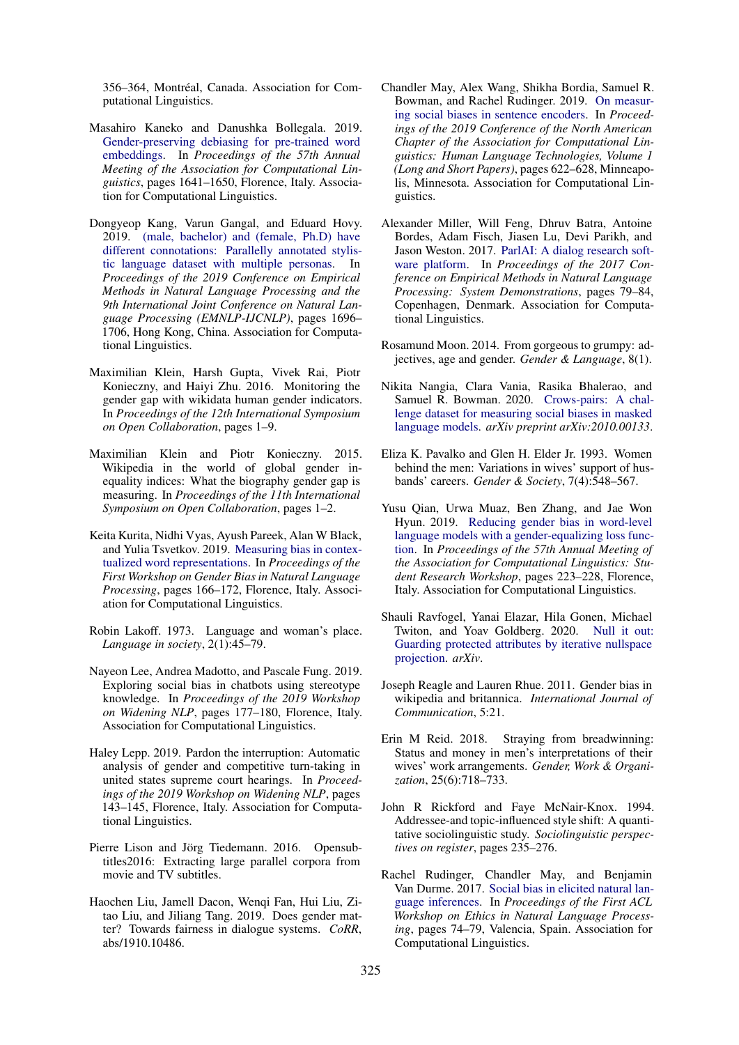356–364, Montréal, Canada, Association for Computational Linguistics.

- <span id="page-11-2"></span>Masahiro Kaneko and Danushka Bollegala. 2019. [Gender-preserving debiasing for pre-trained word](https://doi.org/10.18653/v1/P19-1160) [embeddings.](https://doi.org/10.18653/v1/P19-1160) In *Proceedings of the 57th Annual Meeting of the Association for Computational Linguistics*, pages 1641–1650, Florence, Italy. Association for Computational Linguistics.
- <span id="page-11-9"></span>Dongyeop Kang, Varun Gangal, and Eduard Hovy. 2019. [\(male, bachelor\) and \(female, Ph.D\) have](https://doi.org/10.18653/v1/D19-1179) [different connotations: Parallelly annotated stylis](https://doi.org/10.18653/v1/D19-1179)[tic language dataset with multiple personas.](https://doi.org/10.18653/v1/D19-1179) In *Proceedings of the 2019 Conference on Empirical Methods in Natural Language Processing and the 9th International Joint Conference on Natural Language Processing (EMNLP-IJCNLP)*, pages 1696– 1706, Hong Kong, China. Association for Computational Linguistics.
- <span id="page-11-20"></span>Maximilian Klein, Harsh Gupta, Vivek Rai, Piotr Konieczny, and Haiyi Zhu. 2016. Monitoring the gender gap with wikidata human gender indicators. In *Proceedings of the 12th International Symposium on Open Collaboration*, pages 1–9.
- <span id="page-11-19"></span>Maximilian Klein and Piotr Konieczny. 2015. Wikipedia in the world of global gender inequality indices: What the biography gender gap is measuring. In *Proceedings of the 11th International Symposium on Open Collaboration*, pages 1–2.
- <span id="page-11-3"></span>Keita Kurita, Nidhi Vyas, Ayush Pareek, Alan W Black, and Yulia Tsvetkov. 2019. [Measuring bias in contex](https://doi.org/10.18653/v1/W19-3823)[tualized word representations.](https://doi.org/10.18653/v1/W19-3823) In *Proceedings of the First Workshop on Gender Bias in Natural Language Processing*, pages 166–172, Florence, Italy. Association for Computational Linguistics.
- <span id="page-11-12"></span>Robin Lakoff. 1973. Language and woman's place. *Language in society*, 2(1):45–79.
- <span id="page-11-7"></span>Nayeon Lee, Andrea Madotto, and Pascale Fung. 2019. Exploring social bias in chatbots using stereotype knowledge. In *Proceedings of the 2019 Workshop on Widening NLP*, pages 177–180, Florence, Italy. Association for Computational Linguistics.
- <span id="page-11-6"></span>Haley Lepp. 2019. Pardon the interruption: Automatic analysis of gender and competitive turn-taking in united states supreme court hearings. In *Proceedings of the 2019 Workshop on Widening NLP*, pages 143–145, Florence, Italy. Association for Computational Linguistics.
- <span id="page-11-15"></span>Pierre Lison and Jörg Tiedemann. 2016. Opensubtitles2016: Extracting large parallel corpora from movie and TV subtitles.
- <span id="page-11-8"></span>Haochen Liu, Jamell Dacon, Wenqi Fan, Hui Liu, Zitao Liu, and Jiliang Tang. 2019. Does gender matter? Towards fairness in dialogue systems. *CoRR*, abs/1910.10486.
- <span id="page-11-10"></span>Chandler May, Alex Wang, Shikha Bordia, Samuel R. Bowman, and Rachel Rudinger. 2019. [On measur](https://doi.org/10.18653/v1/N19-1063)[ing social biases in sentence encoders.](https://doi.org/10.18653/v1/N19-1063) In *Proceedings of the 2019 Conference of the North American Chapter of the Association for Computational Linguistics: Human Language Technologies, Volume 1 (Long and Short Papers)*, pages 622–628, Minneapolis, Minnesota. Association for Computational Linguistics.
- <span id="page-11-14"></span>Alexander Miller, Will Feng, Dhruv Batra, Antoine Bordes, Adam Fisch, Jiasen Lu, Devi Parikh, and Jason Weston. 2017. [ParlAI: A dialog research soft](https://doi.org/10.18653/v1/D17-2014)[ware platform.](https://doi.org/10.18653/v1/D17-2014) In *Proceedings of the 2017 Conference on Empirical Methods in Natural Language Processing: System Demonstrations*, pages 79–84, Copenhagen, Denmark. Association for Computational Linguistics.
- <span id="page-11-13"></span>Rosamund Moon. 2014. From gorgeous to grumpy: adjectives, age and gender. *Gender & Language*, 8(1).
- <span id="page-11-5"></span>Nikita Nangia, Clara Vania, Rasika Bhalerao, and Samuel R. Bowman. 2020. [Crows-pairs: A chal](http://arxiv.org/abs/2010.00133)[lenge dataset for measuring social biases in masked](http://arxiv.org/abs/2010.00133) [language models.](http://arxiv.org/abs/2010.00133) *arXiv preprint arXiv:2010.00133*.
- <span id="page-11-16"></span>Eliza K. Pavalko and Glen H. Elder Jr. 1993. Women behind the men: Variations in wives' support of husbands' careers. *Gender & Society*, 7(4):548–567.
- <span id="page-11-4"></span>Yusu Qian, Urwa Muaz, Ben Zhang, and Jae Won Hyun. 2019. [Reducing gender bias in word-level](https://doi.org/10.18653/v1/P19-2031) [language models with a gender-equalizing loss func](https://doi.org/10.18653/v1/P19-2031)[tion.](https://doi.org/10.18653/v1/P19-2031) In *Proceedings of the 57th Annual Meeting of the Association for Computational Linguistics: Student Research Workshop*, pages 223–228, Florence, Italy. Association for Computational Linguistics.
- <span id="page-11-1"></span>Shauli Ravfogel, Yanai Elazar, Hila Gonen, Michael Twiton, and Yoav Goldberg. 2020. [Null it out:](http://arxiv.org/abs/2004.07667) [Guarding protected attributes by iterative nullspace](http://arxiv.org/abs/2004.07667) [projection.](http://arxiv.org/abs/2004.07667) *arXiv*.
- <span id="page-11-18"></span>Joseph Reagle and Lauren Rhue. 2011. Gender bias in wikipedia and britannica. *International Journal of Communication*, 5:21.
- <span id="page-11-17"></span>Erin M Reid. 2018. Straying from breadwinning: Status and money in men's interpretations of their wives' work arrangements. *Gender, Work & Organization*, 25(6):718–733.
- <span id="page-11-11"></span>John R Rickford and Faye McNair-Knox. 1994. Addressee-and topic-influenced style shift: A quantitative sociolinguistic study. *Sociolinguistic perspectives on register*, pages 235–276.
- <span id="page-11-0"></span>Rachel Rudinger, Chandler May, and Benjamin Van Durme. 2017. [Social bias in elicited natural lan](https://doi.org/10.18653/v1/W17-1609)[guage inferences.](https://doi.org/10.18653/v1/W17-1609) In *Proceedings of the First ACL Workshop on Ethics in Natural Language Processing*, pages 74–79, Valencia, Spain. Association for Computational Linguistics.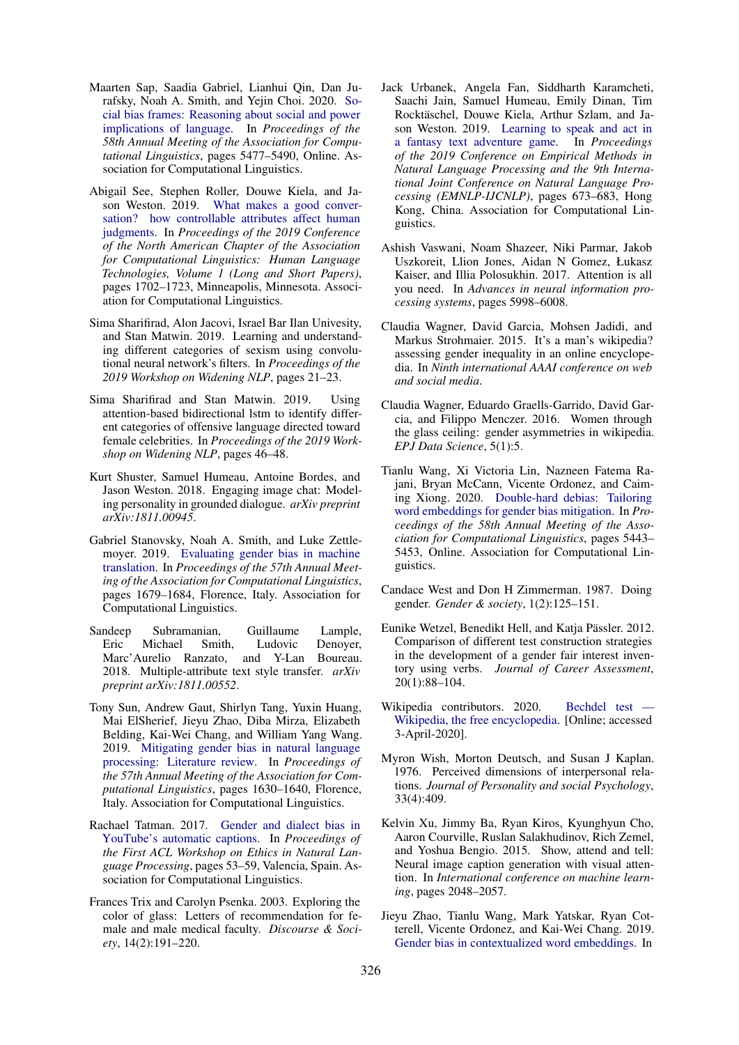- <span id="page-12-6"></span>Maarten Sap, Saadia Gabriel, Lianhui Qin, Dan Jurafsky, Noah A. Smith, and Yejin Choi. 2020. [So](https://doi.org/10.18653/v1/2020.acl-main.486)[cial bias frames: Reasoning about social and power](https://doi.org/10.18653/v1/2020.acl-main.486) [implications of language.](https://doi.org/10.18653/v1/2020.acl-main.486) In *Proceedings of the 58th Annual Meeting of the Association for Computational Linguistics*, pages 5477–5490, Online. Association for Computational Linguistics.
- <span id="page-12-16"></span>Abigail See, Stephen Roller, Douwe Kiela, and Jason Weston. 2019. [What makes a good conver](https://doi.org/10.18653/v1/N19-1170)[sation? how controllable attributes affect human](https://doi.org/10.18653/v1/N19-1170) [judgments.](https://doi.org/10.18653/v1/N19-1170) In *Proceedings of the 2019 Conference of the North American Chapter of the Association for Computational Linguistics: Human Language Technologies, Volume 1 (Long and Short Papers)*, pages 1702–1723, Minneapolis, Minnesota. Association for Computational Linguistics.
- <span id="page-12-4"></span>Sima Sharifirad, Alon Jacovi, Israel Bar Ilan Univesity, and Stan Matwin. 2019. Learning and understanding different categories of sexism using convolutional neural network's filters. In *Proceedings of the 2019 Workshop on Widening NLP*, pages 21–23.
- <span id="page-12-3"></span>Sima Sharifirad and Stan Matwin. 2019. Using attention-based bidirectional lstm to identify different categories of offensive language directed toward female celebrities. In *Proceedings of the 2019 Workshop on Widening NLP*, pages 46–48.
- <span id="page-12-12"></span>Kurt Shuster, Samuel Humeau, Antoine Bordes, and Jason Weston. 2018. Engaging image chat: Modeling personality in grounded dialogue. *arXiv preprint arXiv:1811.00945*.
- <span id="page-12-5"></span>Gabriel Stanovsky, Noah A. Smith, and Luke Zettlemoyer. 2019. [Evaluating gender bias in machine](https://doi.org/10.18653/v1/P19-1164) [translation.](https://doi.org/10.18653/v1/P19-1164) In *Proceedings of the 57th Annual Meeting of the Association for Computational Linguistics*, pages 1679–1684, Florence, Italy. Association for Computational Linguistics.
- <span id="page-12-14"></span>Sandeep Subramanian, Guillaume Lample, Eric Michael Smith, Ludovic Denoyer, Marc'Aurelio Ranzato, and Y-Lan Boureau. 2018. Multiple-attribute text style transfer. *arXiv preprint arXiv:1811.00552*.
- <span id="page-12-0"></span>Tony Sun, Andrew Gaut, Shirlyn Tang, Yuxin Huang, Mai ElSherief, Jieyu Zhao, Diba Mirza, Elizabeth Belding, Kai-Wei Chang, and William Yang Wang. 2019. [Mitigating gender bias in natural language](https://doi.org/10.18653/v1/P19-1159) [processing: Literature review.](https://doi.org/10.18653/v1/P19-1159) In *Proceedings of the 57th Annual Meeting of the Association for Computational Linguistics*, pages 1630–1640, Florence, Italy. Association for Computational Linguistics.
- <span id="page-12-7"></span>Rachael Tatman. 2017. [Gender and dialect bias in](https://doi.org/10.18653/v1/W17-1606) [YouTube's automatic captions.](https://doi.org/10.18653/v1/W17-1606) In *Proceedings of the First ACL Workshop on Ethics in Natural Language Processing*, pages 53–59, Valencia, Spain. Association for Computational Linguistics.
- <span id="page-12-8"></span>Frances Trix and Carolyn Psenka. 2003. Exploring the color of glass: Letters of recommendation for female and male medical faculty. *Discourse & Society*, 14(2):191–220.
- <span id="page-12-13"></span>Jack Urbanek, Angela Fan, Siddharth Karamcheti, Saachi Jain, Samuel Humeau, Emily Dinan, Tim Rocktäschel, Douwe Kiela, Arthur Szlam, and Jason Weston. 2019. [Learning to speak and act in](https://doi.org/10.18653/v1/D19-1062) [a fantasy text adventure game.](https://doi.org/10.18653/v1/D19-1062) In *Proceedings of the 2019 Conference on Empirical Methods in Natural Language Processing and the 9th International Joint Conference on Natural Language Processing (EMNLP-IJCNLP)*, pages 673–683, Hong Kong, China. Association for Computational Linguistics.
- <span id="page-12-15"></span>Ashish Vaswani, Noam Shazeer, Niki Parmar, Jakob Uszkoreit, Llion Jones, Aidan N Gomez, Łukasz Kaiser, and Illia Polosukhin. 2017. Attention is all you need. In *Advances in neural information processing systems*, pages 5998–6008.
- <span id="page-12-18"></span>Claudia Wagner, David Garcia, Mohsen Jadidi, and Markus Strohmaier. 2015. It's a man's wikipedia? assessing gender inequality in an online encyclopedia. In *Ninth international AAAI conference on web and social media*.
- <span id="page-12-19"></span>Claudia Wagner, Eduardo Graells-Garrido, David Garcia, and Filippo Menczer. 2016. Women through the glass ceiling: gender asymmetries in wikipedia. *EPJ Data Science*, 5(1):5.
- <span id="page-12-2"></span>Tianlu Wang, Xi Victoria Lin, Nazneen Fatema Rajani, Bryan McCann, Vicente Ordonez, and Caiming Xiong. 2020. [Double-hard debias: Tailoring](https://doi.org/10.18653/v1/2020.acl-main.484) [word embeddings for gender bias mitigation.](https://doi.org/10.18653/v1/2020.acl-main.484) In *Proceedings of the 58th Annual Meeting of the Association for Computational Linguistics*, pages 5443– 5453, Online. Association for Computational Linguistics.
- <span id="page-12-10"></span>Candace West and Don H Zimmerman. 1987. Doing gender. *Gender & society*, 1(2):125–151.
- <span id="page-12-11"></span>Eunike Wetzel, Benedikt Hell, and Katja Pässler. 2012. Comparison of different test construction strategies in the development of a gender fair interest inventory using verbs. *Journal of Career Assessment*, 20(1):88–104.
- <span id="page-12-17"></span>Wikipedia contributors. 2020. Bechdel test -[Wikipedia, the free encyclopedia.](https://en.wikipedia.org/w/index.php?title=Bechdel_test&oldid=945841486) [Online; accessed 3-April-2020].
- <span id="page-12-9"></span>Myron Wish, Morton Deutsch, and Susan J Kaplan. 1976. Perceived dimensions of interpersonal relations. *Journal of Personality and social Psychology*, 33(4):409.
- <span id="page-12-20"></span>Kelvin Xu, Jimmy Ba, Ryan Kiros, Kyunghyun Cho, Aaron Courville, Ruslan Salakhudinov, Rich Zemel, and Yoshua Bengio. 2015. Show, attend and tell: Neural image caption generation with visual attention. In *International conference on machine learning*, pages 2048–2057.
- <span id="page-12-1"></span>Jieyu Zhao, Tianlu Wang, Mark Yatskar, Ryan Cotterell, Vicente Ordonez, and Kai-Wei Chang. 2019. [Gender bias in contextualized word embeddings.](https://doi.org/10.18653/v1/N19-1064) In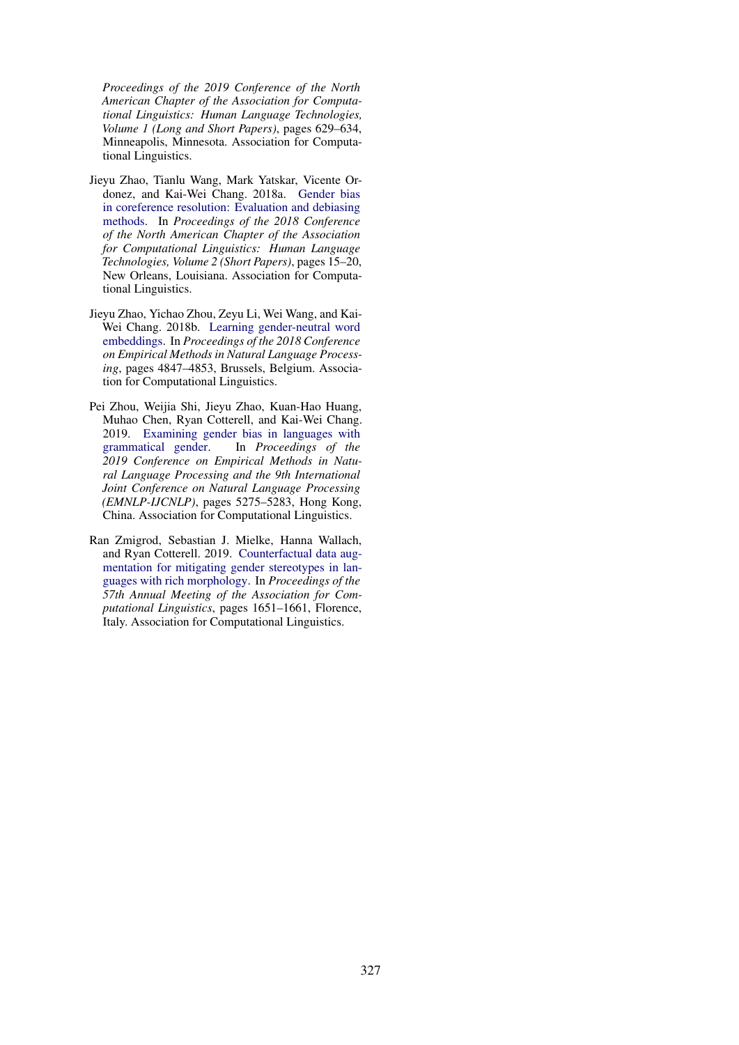*Proceedings of the 2019 Conference of the North American Chapter of the Association for Computational Linguistics: Human Language Technologies, Volume 1 (Long and Short Papers)*, pages 629–634, Minneapolis, Minnesota. Association for Computational Linguistics.

- <span id="page-13-2"></span>Jieyu Zhao, Tianlu Wang, Mark Yatskar, Vicente Ordonez, and Kai-Wei Chang. 2018a. [Gender bias](https://doi.org/10.18653/v1/N18-2003) [in coreference resolution: Evaluation and debiasing](https://doi.org/10.18653/v1/N18-2003) [methods.](https://doi.org/10.18653/v1/N18-2003) In *Proceedings of the 2018 Conference of the North American Chapter of the Association for Computational Linguistics: Human Language Technologies, Volume 2 (Short Papers)*, pages 15–20, New Orleans, Louisiana. Association for Computational Linguistics.
- <span id="page-13-0"></span>Jieyu Zhao, Yichao Zhou, Zeyu Li, Wei Wang, and Kai-Wei Chang. 2018b. [Learning gender-neutral word](https://doi.org/10.18653/v1/D18-1521) [embeddings.](https://doi.org/10.18653/v1/D18-1521) In *Proceedings of the 2018 Conference on Empirical Methods in Natural Language Processing*, pages 4847–4853, Brussels, Belgium. Association for Computational Linguistics.
- <span id="page-13-1"></span>Pei Zhou, Weijia Shi, Jieyu Zhao, Kuan-Hao Huang, Muhao Chen, Ryan Cotterell, and Kai-Wei Chang. 2019. [Examining gender bias in languages with](https://doi.org/10.18653/v1/D19-1531) [grammatical gender.](https://doi.org/10.18653/v1/D19-1531) In *Proceedings of the 2019 Conference on Empirical Methods in Natural Language Processing and the 9th International Joint Conference on Natural Language Processing (EMNLP-IJCNLP)*, pages 5275–5283, Hong Kong, China. Association for Computational Linguistics.
- <span id="page-13-3"></span>Ran Zmigrod, Sebastian J. Mielke, Hanna Wallach, and Ryan Cotterell. 2019. [Counterfactual data aug](https://doi.org/10.18653/v1/P19-1161)[mentation for mitigating gender stereotypes in lan](https://doi.org/10.18653/v1/P19-1161)[guages with rich morphology.](https://doi.org/10.18653/v1/P19-1161) In *Proceedings of the 57th Annual Meeting of the Association for Computational Linguistics*, pages 1651–1661, Florence, Italy. Association for Computational Linguistics.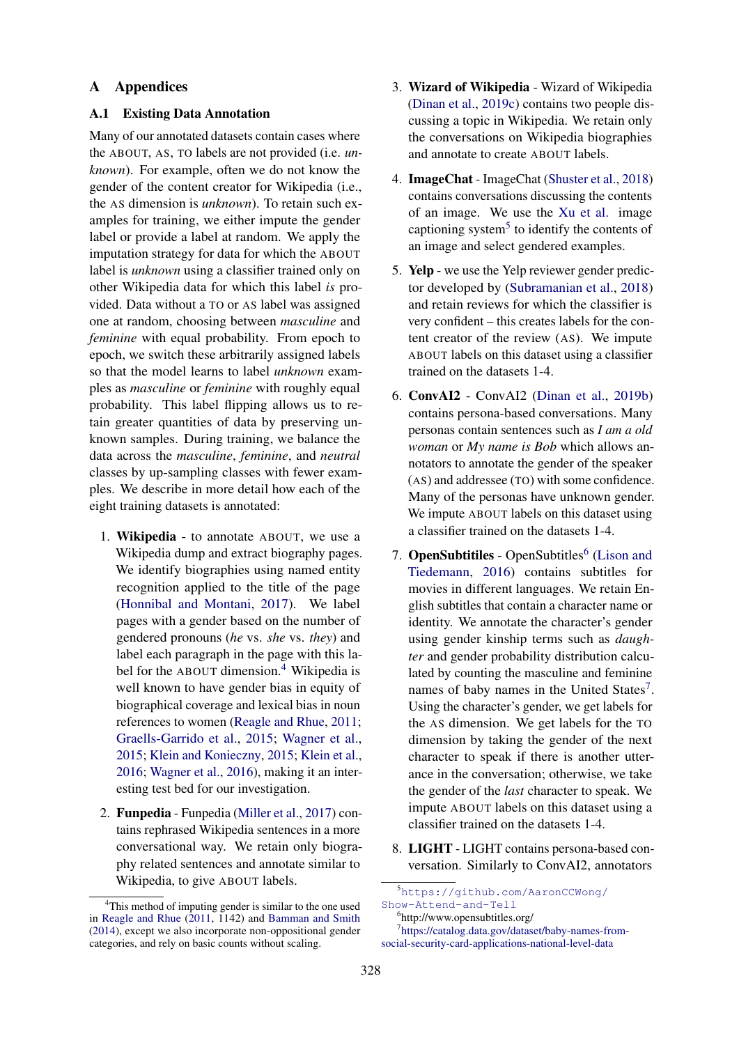# A Appendices

## <span id="page-14-0"></span>A.1 Existing Data Annotation

Many of our annotated datasets contain cases where the ABOUT, AS, TO labels are not provided (i.e. *unknown*). For example, often we do not know the gender of the content creator for Wikipedia (i.e., the AS dimension is *unknown*). To retain such examples for training, we either impute the gender label or provide a label at random. We apply the imputation strategy for data for which the ABOUT label is *unknown* using a classifier trained only on other Wikipedia data for which this label *is* provided. Data without a TO or AS label was assigned one at random, choosing between *masculine* and *feminine* with equal probability. From epoch to epoch, we switch these arbitrarily assigned labels so that the model learns to label *unknown* examples as *masculine* or *feminine* with roughly equal probability. This label flipping allows us to retain greater quantities of data by preserving unknown samples. During training, we balance the data across the *masculine*, *feminine*, and *neutral* classes by up-sampling classes with fewer examples. We describe in more detail how each of the eight training datasets is annotated:

- 1. Wikipedia to annotate ABOUT, we use a Wikipedia dump and extract biography pages. We identify biographies using named entity recognition applied to the title of the page [\(Honnibal and Montani,](#page-10-4) [2017\)](#page-10-4). We label pages with a gender based on the number of gendered pronouns (*he* vs. *she* vs. *they*) and label each paragraph in the page with this la-bel for the ABOUT dimension.<sup>[4](#page-14-1)</sup> Wikipedia is well known to have gender bias in equity of biographical coverage and lexical bias in noun references to women [\(Reagle and Rhue,](#page-11-18) [2011;](#page-11-18) [Graells-Garrido et al.,](#page-10-18) [2015;](#page-10-18) [Wagner et al.,](#page-12-18) [2015;](#page-12-18) [Klein and Konieczny,](#page-11-19) [2015;](#page-11-19) [Klein et al.,](#page-11-20) [2016;](#page-11-20) [Wagner et al.,](#page-12-19) [2016\)](#page-12-19), making it an interesting test bed for our investigation.
- 2. Funpedia Funpedia [\(Miller et al.,](#page-11-14) [2017\)](#page-11-14) contains rephrased Wikipedia sentences in a more conversational way. We retain only biography related sentences and annotate similar to Wikipedia, to give ABOUT labels.
- 3. Wizard of Wikipedia Wizard of Wikipedia [\(Dinan et al.,](#page-9-14) [2019c\)](#page-9-14) contains two people discussing a topic in Wikipedia. We retain only the conversations on Wikipedia biographies and annotate to create ABOUT labels.
- 4. ImageChat ImageChat [\(Shuster et al.,](#page-12-12) [2018\)](#page-12-12) contains conversations discussing the contents of an image. We use the [Xu et al.](#page-12-20) image captioning system $5$  to identify the contents of an image and select gendered examples.
- 5. Yelp we use the Yelp reviewer gender predictor developed by [\(Subramanian et al.,](#page-12-14) [2018\)](#page-12-14) and retain reviews for which the classifier is very confident – this creates labels for the content creator of the review (AS). We impute ABOUT labels on this dataset using a classifier trained on the datasets 1-4.
- 6. ConvAI2 ConvAI2 [\(Dinan et al.,](#page-9-15) [2019b\)](#page-9-15) contains persona-based conversations. Many personas contain sentences such as *I am a old woman* or *My name is Bob* which allows annotators to annotate the gender of the speaker (AS) and addressee (TO) with some confidence. Many of the personas have unknown gender. We impute ABOUT labels on this dataset using a classifier trained on the datasets 1-4.
- 7. OpenSubtitiles OpenSubtitles<sup>[6](#page-14-3)</sup> [\(Lison and](#page-11-15) [Tiedemann,](#page-11-15) [2016\)](#page-11-15) contains subtitles for movies in different languages. We retain English subtitles that contain a character name or identity. We annotate the character's gender using gender kinship terms such as *daughter* and gender probability distribution calculated by counting the masculine and feminine names of baby names in the United States<sup>[7](#page-14-4)</sup>. Using the character's gender, we get labels for the AS dimension. We get labels for the TO dimension by taking the gender of the next character to speak if there is another utterance in the conversation; otherwise, we take the gender of the *last* character to speak. We impute ABOUT labels on this dataset using a classifier trained on the datasets 1-4.
- 8. LIGHT LIGHT contains persona-based conversation. Similarly to ConvAI2, annotators

<span id="page-14-1"></span><sup>&</sup>lt;sup>4</sup>This method of imputing gender is similar to the one used in [Reagle and Rhue](#page-11-18) [\(2011,](#page-11-18) 1142) and [Bamman and Smith](#page-8-10) [\(2014\)](#page-8-10), except we also incorporate non-oppositional gender categories, and rely on basic counts without scaling.

<span id="page-14-2"></span><sup>5</sup>[https://github.com/AaronCCWong/](https://github.com/AaronCCWong/Show-Attend-and-Tell) [Show-Attend-and-Tell](https://github.com/AaronCCWong/Show-Attend-and-Tell)

<span id="page-14-4"></span><span id="page-14-3"></span><sup>6</sup> http://www.opensubtitles.org/

<sup>7</sup> [https://catalog.data.gov/dataset/baby-names-from](https://catalog.data.gov/dataset/baby-names-from-social-security-card-applications-national-level-data)[social-security-card-applications-national-level-data](https://catalog.data.gov/dataset/baby-names-from-social-security-card-applications-national-level-data)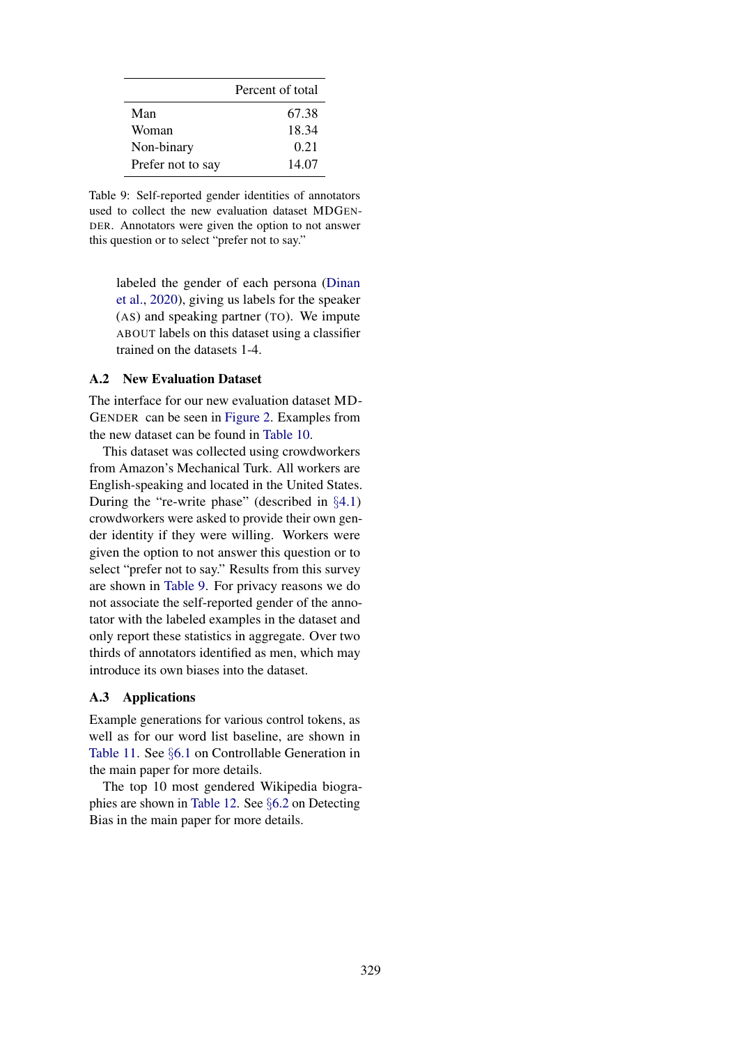<span id="page-15-1"></span>

|                   | Percent of total |
|-------------------|------------------|
| Man               | 67.38            |
| Woman             | 18.34            |
| Non-binary        | 0.21             |
| Prefer not to say | 14.07            |

Table 9: Self-reported gender identities of annotators used to collect the new evaluation dataset MDGEN-DER. Annotators were given the option to not answer this question or to select "prefer not to say."

labeled the gender of each persona [\(Dinan](#page-9-0) [et al.,](#page-9-0) [2020\)](#page-9-0), giving us labels for the speaker (AS) and speaking partner (TO). We impute ABOUT labels on this dataset using a classifier trained on the datasets 1-4.

## <span id="page-15-0"></span>A.2 New Evaluation Dataset

The interface for our new evaluation dataset MD-GENDER can be seen in [Figure 2.](#page-16-1) Examples from the new dataset can be found in [Table 10.](#page-16-0)

This dataset was collected using crowdworkers from Amazon's Mechanical Turk. All workers are English-speaking and located in the United States. During the "re-write phase" (described in §[4.1\)](#page-3-2) crowdworkers were asked to provide their own gender identity if they were willing. Workers were given the option to not answer this question or to select "prefer not to say." Results from this survey are shown in [Table 9.](#page-15-1) For privacy reasons we do not associate the self-reported gender of the annotator with the labeled examples in the dataset and only report these statistics in aggregate. Over two thirds of annotators identified as men, which may introduce its own biases into the dataset.

# A.3 Applications

Example generations for various control tokens, as well as for our word list baseline, are shown in [Table 11.](#page-17-0) See §[6.1](#page-5-2) on Controllable Generation in the main paper for more details.

The top 10 most gendered Wikipedia biographies are shown in [Table 12.](#page-17-1) See §[6.2](#page-7-3) on Detecting Bias in the main paper for more details.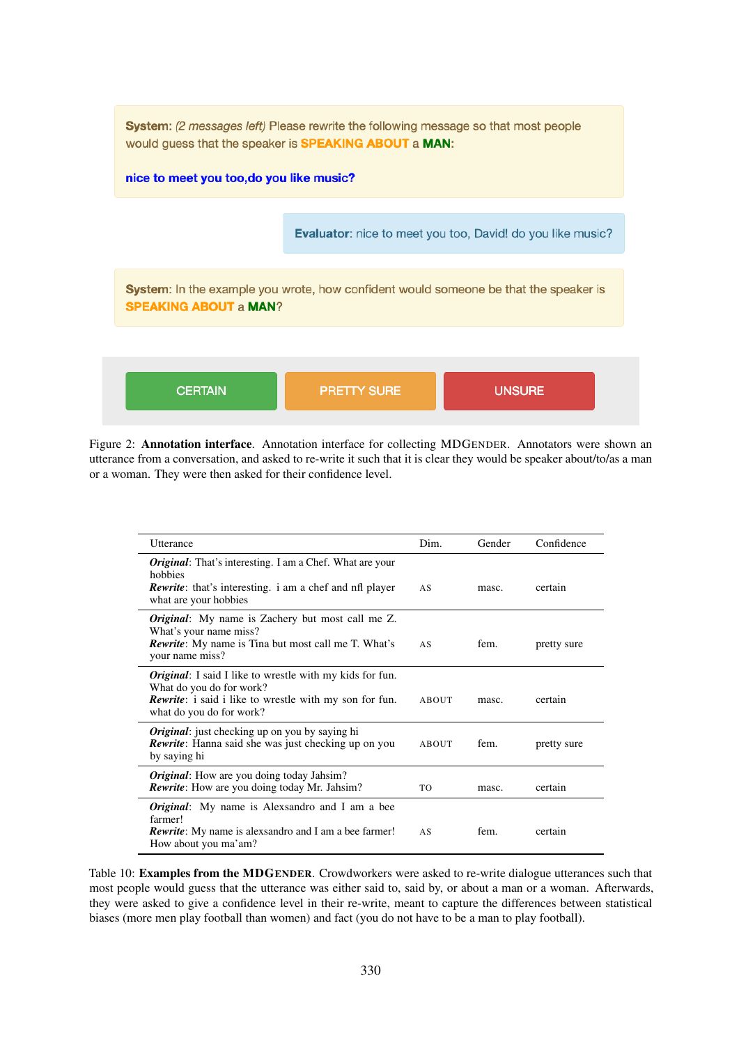<span id="page-16-1"></span>

Figure 2: Annotation interface. Annotation interface for collecting MDGENDER. Annotators were shown an utterance from a conversation, and asked to re-write it such that it is clear they would be speaker about/to/as a man or a woman. They were then asked for their confidence level.

<span id="page-16-0"></span>

| Utterance                                                                                                                                                                          | Dim.  | Gender | Confidence  |
|------------------------------------------------------------------------------------------------------------------------------------------------------------------------------------|-------|--------|-------------|
| <i>Original</i> : That's interesting. I am a Chef. What are your<br>hobbies<br><b>Rewrite:</b> that's interesting. i am a chef and nfl player<br>what are your hobbies             | AS    | masc.  | certain     |
| <i>Original</i> : My name is Zachery but most call me Z.<br>What's your name miss?<br><b>Rewrite:</b> My name is Tina but most call me T. What's<br>your name miss?                | AS    | fem.   | pretty sure |
| <i>Original</i> : I said I like to wrestle with my kids for fun.<br>What do you do for work?<br>Rewrite: i said i like to wrestle with my son for fun.<br>what do you do for work? | ABOUT | masc.  | certain     |
| <i>Original</i> : just checking up on you by saying hi<br><b>Rewrite:</b> Hanna said she was just checking up on you<br>by saying hi                                               | ABOUT | fem.   | pretty sure |
| <i>Original</i> : How are you doing today Jahsim?<br><b>Rewrite:</b> How are you doing today Mr. Jahsim?                                                                           | TO    | masc.  | certain     |
| <i>Original</i> : My name is Alexsandro and I am a bee<br>farmer!<br><b>Rewrite:</b> My name is alexsandro and I am a bee farmer!<br>How about you ma'am?                          | AS    | fem.   | certain     |

Table 10: Examples from the MDGENDER. Crowdworkers were asked to re-write dialogue utterances such that most people would guess that the utterance was either said to, said by, or about a man or a woman. Afterwards, they were asked to give a confidence level in their re-write, meant to capture the differences between statistical biases (more men play football than women) and fact (you do not have to be a man to play football).